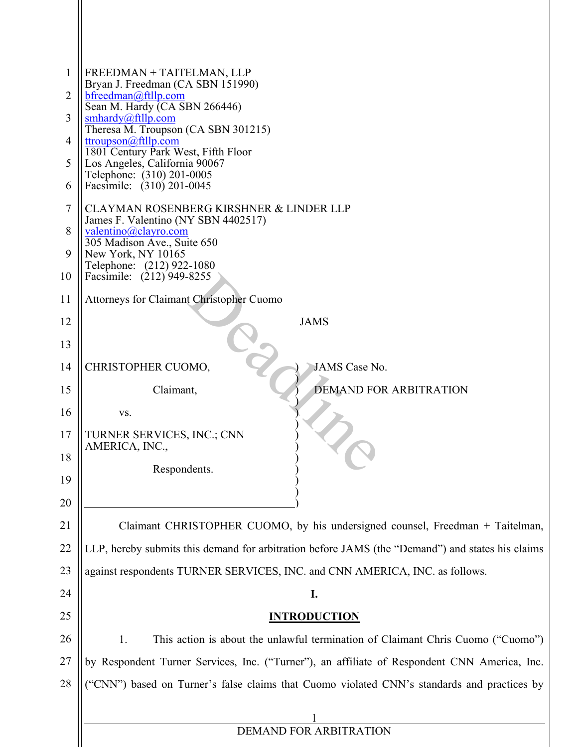| $\mathbf{1}$<br>$\overline{2}$ | FREEDMAN + TAITELMAN, LLP<br>Bryan J. Freedman (CA SBN 151990)<br>bfreedman@ftllp.com            |  |  |  |  |  |  |  |
|--------------------------------|--------------------------------------------------------------------------------------------------|--|--|--|--|--|--|--|
| 3                              | Sean M. Hardy (CA SBN 266446)<br>smhardy@ftllp.com                                               |  |  |  |  |  |  |  |
| $\overline{4}$                 | Theresa M. Troupson (CA SBN 301215)<br>ttroupson@ftllp.com                                       |  |  |  |  |  |  |  |
| 5                              | 1801 Century Park West, Fifth Floor<br>Los Angeles, California 90067                             |  |  |  |  |  |  |  |
| 6                              | Telephone: (310) 201-0005<br>Facsimile: (310) 201-0045                                           |  |  |  |  |  |  |  |
| $\tau$                         | CLAYMAN ROSENBERG KIRSHNER & LINDER LLP                                                          |  |  |  |  |  |  |  |
| 8                              | James F. Valentino (NY SBN 4402517)<br>valentino@clayro.com<br>305 Madison Ave., Suite 650       |  |  |  |  |  |  |  |
| 9                              | New York, NY 10165<br>Telephone: (212) 922-1080                                                  |  |  |  |  |  |  |  |
| 10                             | Facsimile: (212) 949-8255                                                                        |  |  |  |  |  |  |  |
| 11                             | Attorneys for Claimant Christopher Cuomo                                                         |  |  |  |  |  |  |  |
| 12                             | <b>JAMS</b>                                                                                      |  |  |  |  |  |  |  |
| 13                             |                                                                                                  |  |  |  |  |  |  |  |
| 14                             | CHRISTOPHER CUOMO,<br><b>JAMS</b> Case No.                                                       |  |  |  |  |  |  |  |
| 15                             | Claimant,<br><b>DEMAND FOR ARBITRATION</b>                                                       |  |  |  |  |  |  |  |
| 16                             | VS.                                                                                              |  |  |  |  |  |  |  |
| 17<br>18                       | TURNER SERVICES, INC.; CNN<br>AMERICA, INC.,                                                     |  |  |  |  |  |  |  |
| 19                             | Respondents.                                                                                     |  |  |  |  |  |  |  |
| 20                             |                                                                                                  |  |  |  |  |  |  |  |
| 21                             | Claimant CHRISTOPHER CUOMO, by his undersigned counsel, Freedman + Taitelman,                    |  |  |  |  |  |  |  |
| 22                             | LLP, hereby submits this demand for arbitration before JAMS (the "Demand") and states his claims |  |  |  |  |  |  |  |
| 23                             | against respondents TURNER SERVICES, INC. and CNN AMERICA, INC. as follows.                      |  |  |  |  |  |  |  |
| 24                             | I.                                                                                               |  |  |  |  |  |  |  |
| 25                             | <b>INTRODUCTION</b>                                                                              |  |  |  |  |  |  |  |
| 26                             | 1.<br>This action is about the unlawful termination of Claimant Chris Cuomo ("Cuomo")            |  |  |  |  |  |  |  |
| 27                             | by Respondent Turner Services, Inc. ("Turner"), an affiliate of Respondent CNN America, Inc.     |  |  |  |  |  |  |  |
| 28                             | ("CNN") based on Turner's false claims that Cuomo violated CNN's standards and practices by      |  |  |  |  |  |  |  |
|                                |                                                                                                  |  |  |  |  |  |  |  |
|                                | DEMAND FOR ARBITRATION                                                                           |  |  |  |  |  |  |  |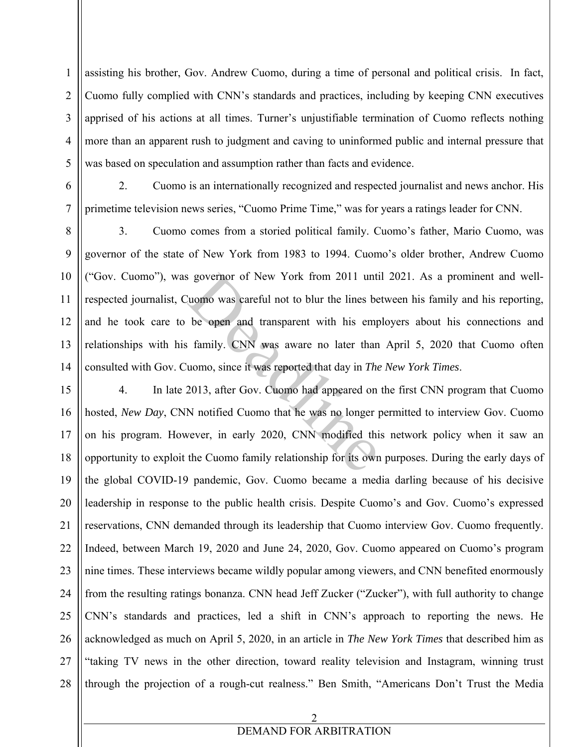assisting his brother, Gov. Andrew Cuomo, during a time of personal and political crisis. In fact, Cuomo fully complied with CNN's standards and practices, including by keeping CNN executives apprised of his actions at all times. Turner's unjustifiable termination of Cuomo reflects nothing more than an apparent rush to judgment and caving to uninformed public and internal pressure that was based on speculation and assumption rather than facts and evidence.

6

1

2

3

4

5

7

2. Cuomo is an internationally recognized and respected journalist and news anchor. His primetime television news series, "Cuomo Prime Time," was for years a ratings leader for CNN.

8 9 10 11 12 13 14 3. Cuomo comes from a storied political family. Cuomo's father, Mario Cuomo, was governor of the state of New York from 1983 to 1994. Cuomo's older brother, Andrew Cuomo ("Gov. Cuomo"), was governor of New York from 2011 until 2021. As a prominent and wellrespected journalist, Cuomo was careful not to blur the lines between his family and his reporting, and he took care to be open and transparent with his employers about his connections and relationships with his family. CNN was aware no later than April 5, 2020 that Cuomo often consulted with Gov. Cuomo, since it was reported that day in *The New York Times*. s governor of New York from 2011 unti-<br>
luomo was careful not to blur the lines be<br>
be open and transparent with his emp<br>
is family. CNN was aware no later than<br>
uomo, since it was reported that day in *The*<br>
2013, after G

15 16 17 18 19 20 21 22 23 24 25 26 27 28 4. In late 2013, after Gov. Cuomo had appeared on the first CNN program that Cuomo hosted, *New Day*, CNN notified Cuomo that he was no longer permitted to interview Gov. Cuomo on his program. However, in early 2020, CNN modified this network policy when it saw an opportunity to exploit the Cuomo family relationship for its own purposes. During the early days of the global COVID-19 pandemic, Gov. Cuomo became a media darling because of his decisive leadership in response to the public health crisis. Despite Cuomo's and Gov. Cuomo's expressed reservations, CNN demanded through its leadership that Cuomo interview Gov. Cuomo frequently. Indeed, between March 19, 2020 and June 24, 2020, Gov. Cuomo appeared on Cuomo's program nine times. These interviews became wildly popular among viewers, and CNN benefited enormously from the resulting ratings bonanza. CNN head Jeff Zucker ("Zucker"), with full authority to change CNN's standards and practices, led a shift in CNN's approach to reporting the news. He acknowledged as much on April 5, 2020, in an article in *The New York Times* that described him as "taking TV news in the other direction, toward reality television and Instagram, winning trust through the projection of a rough-cut realness." Ben Smith, "Americans Don't Trust the Media

## DEMAND FOR ARBITRATION

2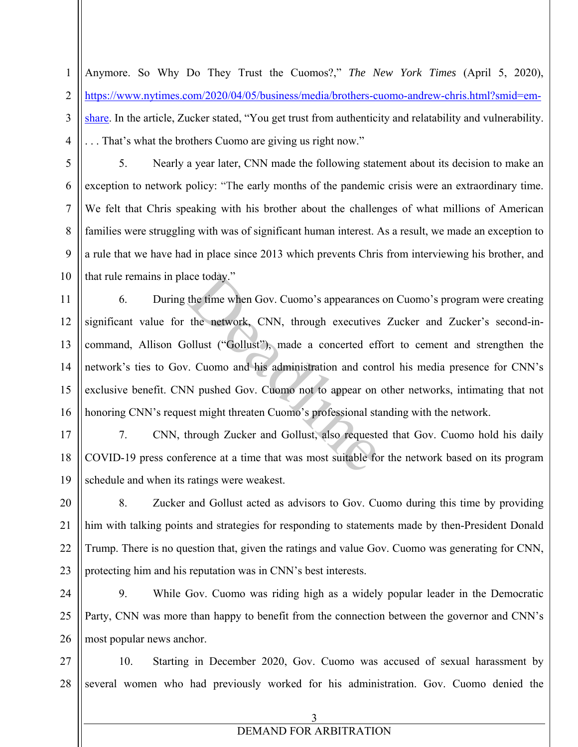Anymore. So Why Do They Trust the Cuomos?," *The New York Times* (April 5, 2020), https://www.nytimes.com/2020/04/05/business/media/brothers-cuomo-andrew-chris.html?smid=emshare. In the article, Zucker stated, "You get trust from authenticity and relatability and vulnerability. . . . That's what the brothers Cuomo are giving us right now."

1

2

3

4

5

6

7

8

9

10

5. Nearly a year later, CNN made the following statement about its decision to make an exception to network policy: "The early months of the pandemic crisis were an extraordinary time. We felt that Chris speaking with his brother about the challenges of what millions of American families were struggling with was of significant human interest. As a result, we made an exception to a rule that we have had in place since 2013 which prevents Chris from interviewing his brother, and that rule remains in place today."

11 12 13 14 15 16 6. During the time when Gov. Cuomo's appearances on Cuomo's program were creating significant value for the network, CNN, through executives Zucker and Zucker's second-incommand, Allison Gollust ("Gollust"), made a concerted effort to cement and strengthen the network's ties to Gov. Cuomo and his administration and control his media presence for CNN's exclusive benefit. CNN pushed Gov. Cuomo not to appear on other networks, intimating that not honoring CNN's request might threaten Cuomo's professional standing with the network. ace today."<br>
the time when Gov. Cuomo's appearances<br>
the network, CNN, through executives<br>
ollust ("Gollust"), made a concerted eff<br>
7. Cuomo and his administration and con<br>
N pushed Gov. Cuomo not to appear on<br>
est might

17 18 19 7. CNN, through Zucker and Gollust, also requested that Gov. Cuomo hold his daily COVID-19 press conference at a time that was most suitable for the network based on its program schedule and when its ratings were weakest.

20 21 22 23 8. Zucker and Gollust acted as advisors to Gov. Cuomo during this time by providing him with talking points and strategies for responding to statements made by then-President Donald Trump. There is no question that, given the ratings and value Gov. Cuomo was generating for CNN, protecting him and his reputation was in CNN's best interests.

24 25 26 9. While Gov. Cuomo was riding high as a widely popular leader in the Democratic Party, CNN was more than happy to benefit from the connection between the governor and CNN's most popular news anchor.

27 28 10. Starting in December 2020, Gov. Cuomo was accused of sexual harassment by several women who had previously worked for his administration. Gov. Cuomo denied the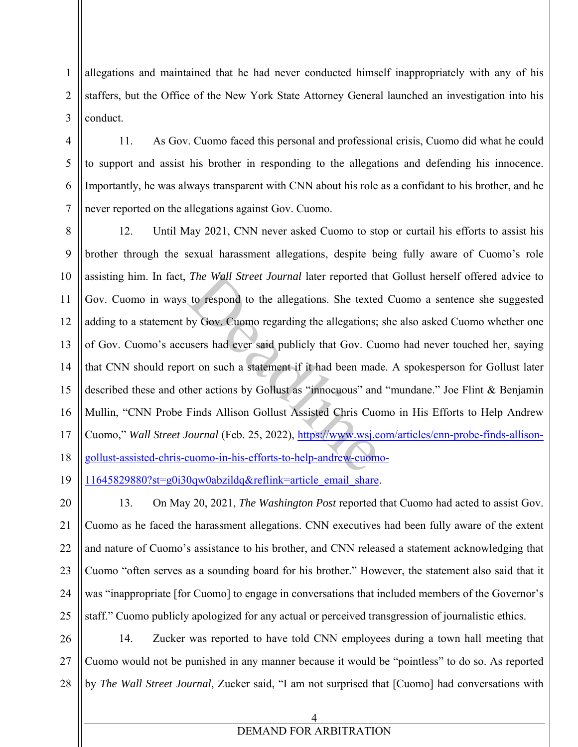allegations and maintained that he had never conducted himself inappropriately with any of his staffers, but the Office of the New York State Attorney General launched an investigation into his conduct.

11. As Gov. Cuomo faced this personal and professional crisis, Cuomo did what he could to support and assist his brother in responding to the allegations and defending his innocence. Importantly, he was always transparent with CNN about his role as a confidant to his brother, and he never reported on the allegations against Gov. Cuomo.

8 9 10 11 12 13 14 15 16 17 18 12. Until May 2021, CNN never asked Cuomo to stop or curtail his efforts to assist his brother through the sexual harassment allegations, despite being fully aware of Cuomo's role assisting him. In fact, *The Wall Street Journal* later reported that Gollust herself offered advice to Gov. Cuomo in ways to respond to the allegations. She texted Cuomo a sentence she suggested adding to a statement by Gov. Cuomo regarding the allegations; she also asked Cuomo whether one of Gov. Cuomo's accusers had ever said publicly that Gov. Cuomo had never touched her, saying that CNN should report on such a statement if it had been made. A spokesperson for Gollust later described these and other actions by Gollust as "innocuous" and "mundane." Joe Flint & Benjamin Mullin, "CNN Probe Finds Allison Gollust Assisted Chris Cuomo in His Efforts to Help Andrew Cuomo," *Wall Street Journal* (Feb. 25, 2022), https://www.wsj.com/articles/cnn-probe-finds-allisongollust-assisted-chris-cuomo-in-his-efforts-to-help-andrew-cuomo-The Wall Street Journal later reported th<br>to respond to the allegations. She texted<br>by Gov. Cuomo regarding the allegations;<br>users had ever said publicly that Gov. Cu<br>ort on such a statement if it had been mad<br>her actions

19 11645829880?st=g0i30qw0abzildq&reflink=article\_email\_share.

1

2

3

4

5

6

7

20 21 22 23 24 25 13. On May 20, 2021, *The Washington Post* reported that Cuomo had acted to assist Gov. Cuomo as he faced the harassment allegations. CNN executives had been fully aware of the extent and nature of Cuomo's assistance to his brother, and CNN released a statement acknowledging that Cuomo "often serves as a sounding board for his brother." However, the statement also said that it was "inappropriate [for Cuomo] to engage in conversations that included members of the Governor's staff." Cuomo publicly apologized for any actual or perceived transgression of journalistic ethics.

26 27 28 14. Zucker was reported to have told CNN employees during a town hall meeting that Cuomo would not be punished in any manner because it would be "pointless" to do so. As reported by *The Wall Street Journal*, Zucker said, "I am not surprised that [Cuomo] had conversations with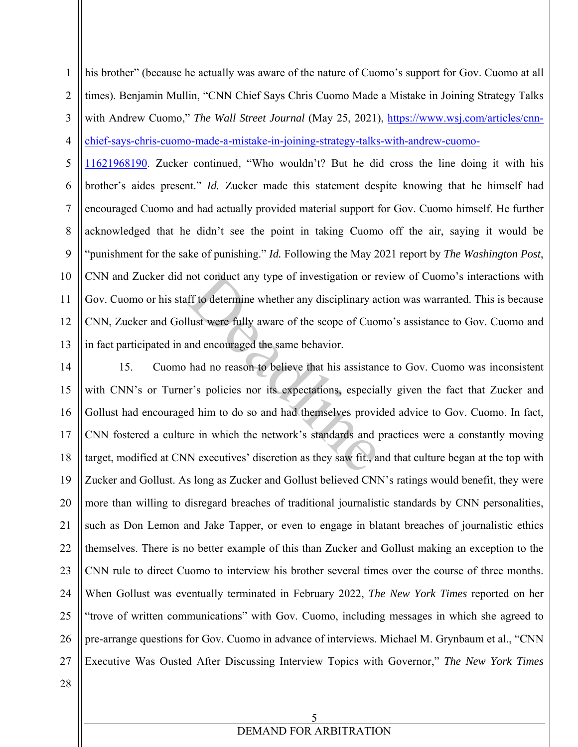1 2 3 4 his brother" (because he actually was aware of the nature of Cuomo's support for Gov. Cuomo at all times). Benjamin Mullin, "CNN Chief Says Chris Cuomo Made a Mistake in Joining Strategy Talks with Andrew Cuomo," *The Wall Street Journal* (May 25, 2021), https://www.wsj.com/articles/cnnchief-says-chris-cuomo-made-a-mistake-in-joining-strategy-talks-with-andrew-cuomo-

5 6 7 8 9 10 11 12 13 11621968190. Zucker continued, "Who wouldn't? But he did cross the line doing it with his brother's aides present." *Id.* Zucker made this statement despite knowing that he himself had encouraged Cuomo and had actually provided material support for Gov. Cuomo himself. He further acknowledged that he didn't see the point in taking Cuomo off the air, saying it would be "punishment for the sake of punishing." *Id.* Following the May 2021 report by *The Washington Post*, CNN and Zucker did not conduct any type of investigation or review of Cuomo's interactions with Gov. Cuomo or his staff to determine whether any disciplinary action was warranted. This is because CNN, Zucker and Gollust were fully aware of the scope of Cuomo's assistance to Gov. Cuomo and in fact participated in and encouraged the same behavior.

14 15 16 17 18 19 20 21 22 23 24 25 26 27 15. Cuomo had no reason to believe that his assistance to Gov. Cuomo was inconsistent with CNN's or Turner's policies nor its expectations, especially given the fact that Zucker and Gollust had encouraged him to do so and had themselves provided advice to Gov. Cuomo. In fact, CNN fostered a culture in which the network's standards and practices were a constantly moving target, modified at CNN executives' discretion as they saw fit., and that culture began at the top with Zucker and Gollust. As long as Zucker and Gollust believed CNN's ratings would benefit, they were more than willing to disregard breaches of traditional journalistic standards by CNN personalities, such as Don Lemon and Jake Tapper, or even to engage in blatant breaches of journalistic ethics themselves. There is no better example of this than Zucker and Gollust making an exception to the CNN rule to direct Cuomo to interview his brother several times over the course of three months. When Gollust was eventually terminated in February 2022, *The New York Times* reported on her "trove of written communications" with Gov. Cuomo, including messages in which she agreed to pre-arrange questions for Gov. Cuomo in advance of interviews. Michael M. Grynbaum et al., "CNN Executive Was Ousted After Discussing Interview Topics with Governor," *The New York Times*  not conduct any type of investigation or reflect to determine whether any disciplinary at lust were fully aware of the scope of Cuon and encouraged the same behavior.<br>
had no reason to believe that his assistant er's polic

28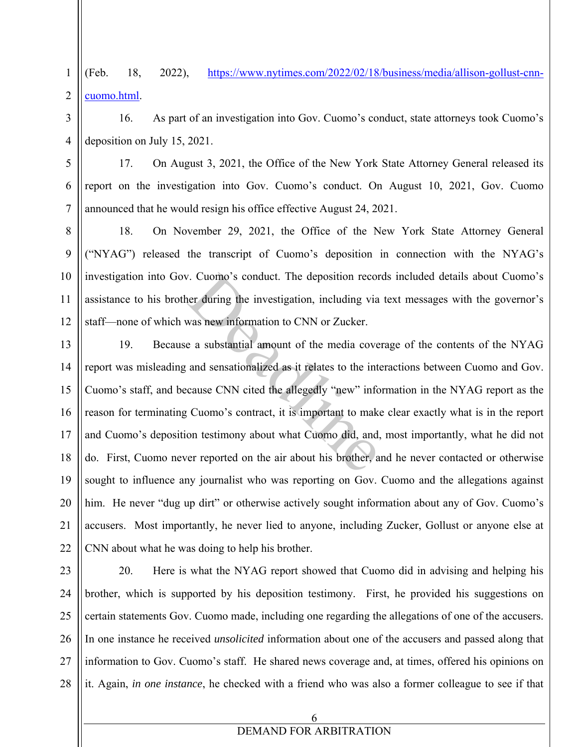1 2 (Feb. 18, 2022), https://www.nytimes.com/2022/02/18/business/media/allison-gollust-cnncuomo.html.

4 16. As part of an investigation into Gov. Cuomo's conduct, state attorneys took Cuomo's deposition on July 15, 2021.

17. On August 3, 2021, the Office of the New York State Attorney General released its report on the investigation into Gov. Cuomo's conduct. On August 10, 2021, Gov. Cuomo announced that he would resign his office effective August 24, 2021.

8 9 10 11 12 18. On November 29, 2021, the Office of the New York State Attorney General ("NYAG") released the transcript of Cuomo's deposition in connection with the NYAG's investigation into Gov. Cuomo's conduct. The deposition records included details about Cuomo's assistance to his brother during the investigation, including via text messages with the governor's staff—none of which was new information to CNN or Zucker.

13 14 15 16 17 18 19 20 21 22 19. Because a substantial amount of the media coverage of the contents of the NYAG report was misleading and sensationalized as it relates to the interactions between Cuomo and Gov. Cuomo's staff, and because CNN cited the allegedly "new" information in the NYAG report as the reason for terminating Cuomo's contract, it is important to make clear exactly what is in the report and Cuomo's deposition testimony about what Cuomo did, and, most importantly, what he did not do. First, Cuomo never reported on the air about his brother, and he never contacted or otherwise sought to influence any journalist who was reporting on Gov. Cuomo and the allegations against him. He never "dug up dirt" or otherwise actively sought information about any of Gov. Cuomo's accusers. Most importantly, he never lied to anyone, including Zucker, Gollust or anyone else at CNN about what he was doing to help his brother. 7. Cuomo's conduct. The deposition recorder during the investigation, including via<br>was new information to CNN or Zucker.<br>e a substantial amount of the media cove<br>and sensationalized as it relates to the interaction cause

23

3

5

6

7

24 25 26 27 28 20. Here is what the NYAG report showed that Cuomo did in advising and helping his brother, which is supported by his deposition testimony. First, he provided his suggestions on certain statements Gov. Cuomo made, including one regarding the allegations of one of the accusers. In one instance he received *unsolicited* information about one of the accusers and passed along that information to Gov. Cuomo's staff. He shared news coverage and, at times, offered his opinions on it. Again, *in one instance*, he checked with a friend who was also a former colleague to see if that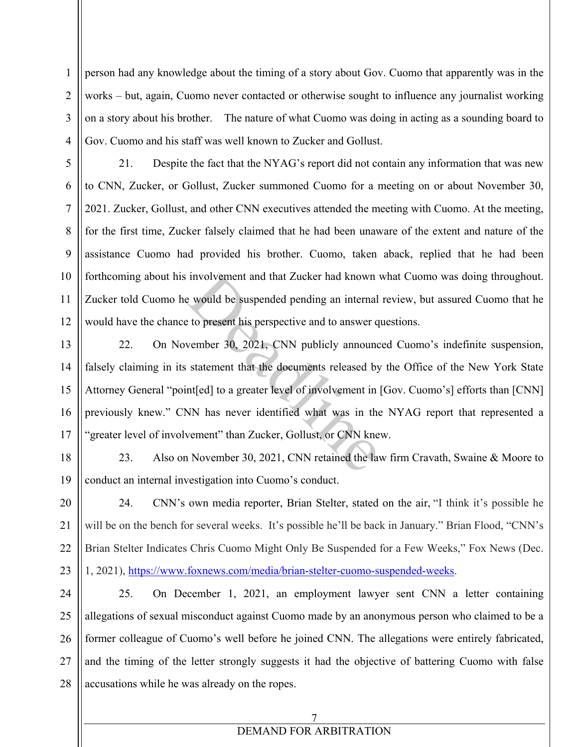person had any knowledge about the timing of a story about Gov. Cuomo that apparently was in the works – but, again, Cuomo never contacted or otherwise sought to influence any journalist working on a story about his brother. The nature of what Cuomo was doing in acting as a sounding board to Gov. Cuomo and his staff was well known to Zucker and Gollust.

- 5 6 7 8 9 21. Despite the fact that the NYAG's report did not contain any information that was new to CNN, Zucker, or Gollust, Zucker summoned Cuomo for a meeting on or about November 30, 2021. Zucker, Gollust, and other CNN executives attended the meeting with Cuomo. At the meeting, for the first time, Zucker falsely claimed that he had been unaware of the extent and nature of the assistance Cuomo had provided his brother. Cuomo, taken aback, replied that he had been forthcoming about his involvement and that Zucker had known what Cuomo was doing throughout. Zucker told Cuomo he would be suspended pending an internal review, but assured Cuomo that he would have the chance to present his perspective and to answer questions.
- 22. On November 30, 2021, CNN publicly announced Cuomo's indefinite suspension, falsely claiming in its statement that the documents released by the Office of the New York State Attorney General "point[ed] to a greater level of involvement in [Gov. Cuomo's] efforts than [CNN] previously knew." CNN has never identified what was in the NYAG report that represented a "greater level of involvement" than Zucker, Gollust, or CNN knew. involvement and that Zucker had known<br>
E would be suspended pending an internal<br>
E to present his perspective and to answer q<br>
vember 30, 2021, CNN publicly announc<br>
statement that the documents released by<br>
nt[ed] to a gr
- 23. Also on November 30, 2021, CNN retained the law firm Cravath, Swaine & Moore to conduct an internal investigation into Cuomo's conduct.
- 24. CNN's own media reporter, Brian Stelter, stated on the air, "I think it's possible he will be on the bench for several weeks. It's possible he'll be back in January." Brian Flood, "CNN's Brian Stelter Indicates Chris Cuomo Might Only Be Suspended for a Few Weeks," Fox News (Dec. 1, 2021), https://www.foxnews.com/media/brian-stelter-cuomo-suspended-weeks.

28 25. On December 1, 2021, an employment lawyer sent CNN a letter containing allegations of sexual misconduct against Cuomo made by an anonymous person who claimed to be a former colleague of Cuomo's well before he joined CNN. The allegations were entirely fabricated, and the timing of the letter strongly suggests it had the objective of battering Cuomo with false accusations while he was already on the ropes.

### 7 DEMAND FOR ARBITRATION

1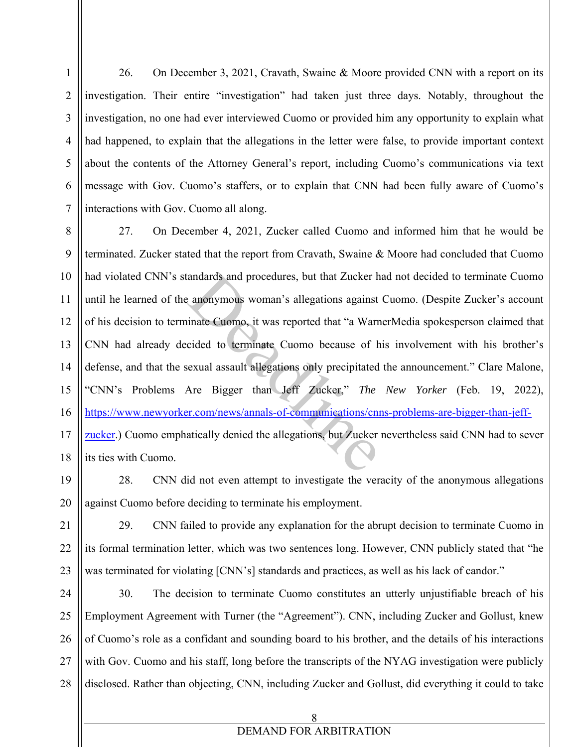26. On December 3, 2021, Cravath, Swaine & Moore provided CNN with a report on its investigation. Their entire "investigation" had taken just three days. Notably, throughout the investigation, no one had ever interviewed Cuomo or provided him any opportunity to explain what had happened, to explain that the allegations in the letter were false, to provide important context about the contents of the Attorney General's report, including Cuomo's communications via text message with Gov. Cuomo's staffers, or to explain that CNN had been fully aware of Cuomo's interactions with Gov. Cuomo all along.

1

2

3

4

5

6

7

8 9 10 11 12 13 14 15 16 17 18 27. On December 4, 2021, Zucker called Cuomo and informed him that he would be terminated. Zucker stated that the report from Cravath, Swaine & Moore had concluded that Cuomo had violated CNN's standards and procedures, but that Zucker had not decided to terminate Cuomo until he learned of the anonymous woman's allegations against Cuomo. (Despite Zucker's account of his decision to terminate Cuomo, it was reported that "a WarnerMedia spokesperson claimed that CNN had already decided to terminate Cuomo because of his involvement with his brother's defense, and that the sexual assault allegations only precipitated the announcement." Clare Malone, "CNN's Problems Are Bigger than Jeff Zucker," *The New Yorker* (Feb. 19, 2022), https://www.newyorker.com/news/annals-of-communications/cnns-problems-are-bigger-than-jeffzucker.) Cuomo emphatically denied the allegations, but Zucker nevertheless said CNN had to sever its ties with Cuomo. andards and procedures, but that Zucker here and a procedures and the Valentian and the Valentian and the Valentian and the Valentian Cuomo because of hexual assault allegations only precipitated Are Bigger than Jeff Zucke

19 20 28. CNN did not even attempt to investigate the veracity of the anonymous allegations against Cuomo before deciding to terminate his employment.

21 22 23 29. CNN failed to provide any explanation for the abrupt decision to terminate Cuomo in its formal termination letter, which was two sentences long. However, CNN publicly stated that "he was terminated for violating [CNN's] standards and practices, as well as his lack of candor."

24 25 26 27 28 30. The decision to terminate Cuomo constitutes an utterly unjustifiable breach of his Employment Agreement with Turner (the "Agreement"). CNN, including Zucker and Gollust, knew of Cuomo's role as a confidant and sounding board to his brother, and the details of his interactions with Gov. Cuomo and his staff, long before the transcripts of the NYAG investigation were publicly disclosed. Rather than objecting, CNN, including Zucker and Gollust, did everything it could to take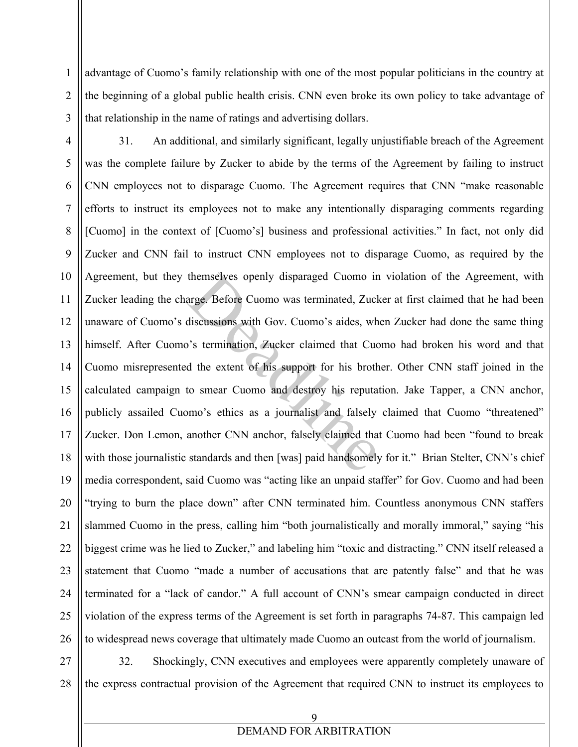advantage of Cuomo's family relationship with one of the most popular politicians in the country at the beginning of a global public health crisis. CNN even broke its own policy to take advantage of that relationship in the name of ratings and advertising dollars.

3 4

1

2

5 6 7 8 9 10 11 12 13 14 15 16 17 18 19 20 21 22 23 24 25 26 31. An additional, and similarly significant, legally unjustifiable breach of the Agreement was the complete failure by Zucker to abide by the terms of the Agreement by failing to instruct CNN employees not to disparage Cuomo. The Agreement requires that CNN "make reasonable efforts to instruct its employees not to make any intentionally disparaging comments regarding [Cuomo] in the context of [Cuomo's] business and professional activities." In fact, not only did Zucker and CNN fail to instruct CNN employees not to disparage Cuomo, as required by the Agreement, but they themselves openly disparaged Cuomo in violation of the Agreement, with Zucker leading the charge. Before Cuomo was terminated, Zucker at first claimed that he had been unaware of Cuomo's discussions with Gov. Cuomo's aides, when Zucker had done the same thing himself. After Cuomo's termination, Zucker claimed that Cuomo had broken his word and that Cuomo misrepresented the extent of his support for his brother. Other CNN staff joined in the calculated campaign to smear Cuomo and destroy his reputation. Jake Tapper, a CNN anchor, publicly assailed Cuomo's ethics as a journalist and falsely claimed that Cuomo "threatened" Zucker. Don Lemon, another CNN anchor, falsely claimed that Cuomo had been "found to break with those journalistic standards and then [was] paid handsomely for it." Brian Stelter, CNN's chief media correspondent, said Cuomo was "acting like an unpaid staffer" for Gov. Cuomo and had been "trying to burn the place down" after CNN terminated him. Countless anonymous CNN staffers slammed Cuomo in the press, calling him "both journalistically and morally immoral," saying "his biggest crime was he lied to Zucker," and labeling him "toxic and distracting." CNN itself released a statement that Cuomo "made a number of accusations that are patently false" and that he was terminated for a "lack of candor." A full account of CNN's smear campaign conducted in direct violation of the express terms of the Agreement is set forth in paragraphs 74-87. This campaign led to widespread news coverage that ultimately made Cuomo an outcast from the world of journalism. themselves openly disparaged Cuomo in<br>arge. Before Cuomo was terminated, Zuck<br>discussions with Gov. Cuomo's aides, wh<br>'s termination, Zucker claimed that Cuo<br>d the extent of his support for his broth<br>to smear Cuomo and des

27 28 32. Shockingly, CNN executives and employees were apparently completely unaware of the express contractual provision of the Agreement that required CNN to instruct its employees to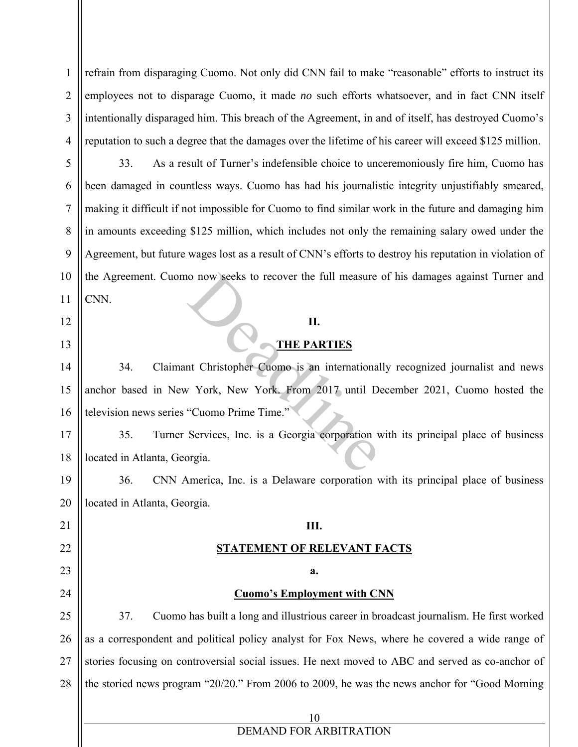2 3 4 refrain from disparaging Cuomo. Not only did CNN fail to make "reasonable" efforts to instruct its employees not to disparage Cuomo, it made *no* such efforts whatsoever, and in fact CNN itself intentionally disparaged him. This breach of the Agreement, in and of itself, has destroyed Cuomo's reputation to such a degree that the damages over the lifetime of his career will exceed \$125 million.

33. As a result of Turner's indefensible choice to unceremoniously fire him, Cuomo has been damaged in countless ways. Cuomo has had his journalistic integrity unjustifiably smeared, making it difficult if not impossible for Cuomo to find similar work in the future and damaging him in amounts exceeding \$125 million, which includes not only the remaining salary owed under the Agreement, but future wages lost as a result of CNN's efforts to destroy his reputation in violation of the Agreement. Cuomo now seeks to recover the full measure of his damages against Turner and CNN.

#### **II.**

### **THE PARTIES**

14 15 16 34. Claimant Christopher Cuomo is an internationally recognized journalist and news anchor based in New York, New York. From 2017 until December 2021, Cuomo hosted the television news series "Cuomo Prime Time." No now seeks to recover the full measure<br>
II.<br>
II.<br>
THE PARTIES<br>
II.<br>
THE PARTIES<br>
II.<br>
York, New York. From 2017 until D<br>
"Cuomo Prime Time."<br>
Services, Inc. is a Georgia corporation v<br>
orgia.

17 18 35. Turner Services, Inc. is a Georgia corporation with its principal place of business located in Atlanta, Georgia.

19 20 36. CNN America, Inc. is a Delaware corporation with its principal place of business located in Atlanta, Georgia.

**III.** 

**STATEMENT OF RELEVANT FACTS**

**a.** 

21 22 23

1

5

6

7

8

9

10

11

12

13

- 24
- 

25

26 27 28 **Cuomo's Employment with CNN** 37. Cuomo has built a long and illustrious career in broadcast journalism. He first worked as a correspondent and political policy analyst for Fox News, where he covered a wide range of stories focusing on controversial social issues. He next moved to ABC and served as co-anchor of the storied news program "20/20." From 2006 to 2009, he was the news anchor for "Good Morning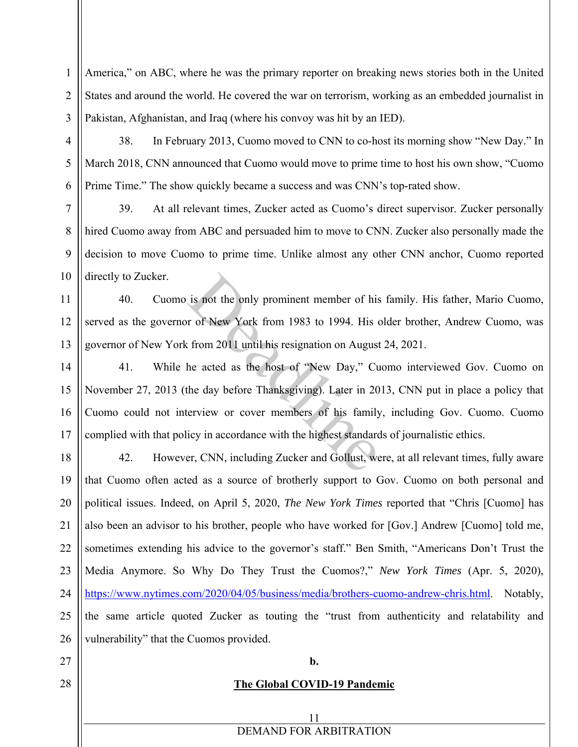America," on ABC, where he was the primary reporter on breaking news stories both in the United States and around the world. He covered the war on terrorism, working as an embedded journalist in Pakistan, Afghanistan, and Iraq (where his convoy was hit by an IED).

38. In February 2013, Cuomo moved to CNN to co-host its morning show "New Day." In March 2018, CNN announced that Cuomo would move to prime time to host his own show, "Cuomo Prime Time." The show quickly became a success and was CNN's top-rated show.

39. At all relevant times, Zucker acted as Cuomo's direct supervisor. Zucker personally hired Cuomo away from ABC and persuaded him to move to CNN. Zucker also personally made the decision to move Cuomo to prime time. Unlike almost any other CNN anchor, Cuomo reported directly to Zucker.

40. Cuomo is not the only prominent member of his family. His father, Mario Cuomo, served as the governor of New York from 1983 to 1994. His older brother, Andrew Cuomo, was governor of New York from 2011 until his resignation on August 24, 2021.

14 15 16 17 41. While he acted as the host of "New Day," Cuomo interviewed Gov. Cuomo on November 27, 2013 (the day before Thanksgiving). Later in 2013, CNN put in place a policy that Cuomo could not interview or cover members of his family, including Gov. Cuomo. Cuomo complied with that policy in accordance with the highest standards of journalistic ethics. is not the only prominent member of his<br>r of New York from 1983 to 1994. His c<br>t from 2011 until his resignation on August<br>he acted as the host of "New Day," Cu<br>the day before Thanksgiving). Later in 20<br>rerview or cover me

18 19 20 21 22 23 24 25 26 42. However, CNN, including Zucker and Gollust, were, at all relevant times, fully aware that Cuomo often acted as a source of brotherly support to Gov. Cuomo on both personal and political issues. Indeed, on April 5, 2020, *The New York Times* reported that "Chris [Cuomo] has also been an advisor to his brother, people who have worked for [Gov.] Andrew [Cuomo] told me, sometimes extending his advice to the governor's staff." Ben Smith, "Americans Don't Trust the Media Anymore. So Why Do They Trust the Cuomos?," *New York Times* (Apr. 5, 2020), https://www.nytimes.com/2020/04/05/business/media/brothers-cuomo-andrew-chris.html. Notably, the same article quoted Zucker as touting the "trust from authenticity and relatability and vulnerability" that the Cuomos provided.

27 28

1

2

3

4

5

6

7

8

9

10

11

12

13

**b.** 

### **The Global COVID-19 Pandemic**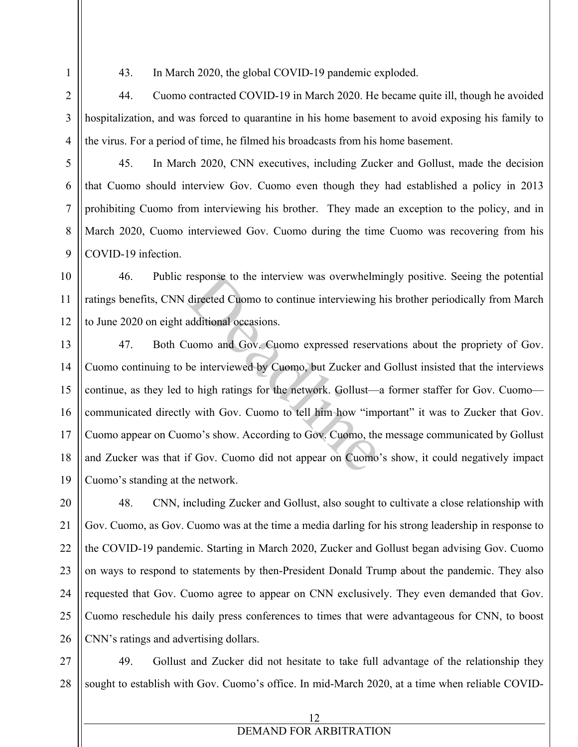1 2

3

4

5

6

7

8

9

43. In March 2020, the global COVID-19 pandemic exploded.

44. Cuomo contracted COVID-19 in March 2020. He became quite ill, though he avoided hospitalization, and was forced to quarantine in his home basement to avoid exposing his family to the virus. For a period of time, he filmed his broadcasts from his home basement.

45. In March 2020, CNN executives, including Zucker and Gollust, made the decision that Cuomo should interview Gov. Cuomo even though they had established a policy in 2013 prohibiting Cuomo from interviewing his brother. They made an exception to the policy, and in March 2020, Cuomo interviewed Gov. Cuomo during the time Cuomo was recovering from his COVID-19 infection.

10 11 12 46. Public response to the interview was overwhelmingly positive. Seeing the potential ratings benefits, CNN directed Cuomo to continue interviewing his brother periodically from March to June 2020 on eight additional occasions.

13 14 15 16 17 18 19 47. Both Cuomo and Gov. Cuomo expressed reservations about the propriety of Gov. Cuomo continuing to be interviewed by Cuomo, but Zucker and Gollust insisted that the interviews continue, as they led to high ratings for the network. Gollust—a former staffer for Gov. Cuomo communicated directly with Gov. Cuomo to tell him how "important" it was to Zucker that Gov. Cuomo appear on Cuomo's show. According to Gov. Cuomo, the message communicated by Gollust and Zucker was that if Gov. Cuomo did not appear on Cuomo's show, it could negatively impact Cuomo's standing at the network. response to the interview was overwhelm<br>directed Cuomo to continue interviewing ladditional occasions.<br>uomo and Gov. Cuomo expressed reserv<br>be interviewed by Cuomo, but Zucker and<br>to high ratings for the network. Gollust—<br>

20 21 22 23 24 25 26 48. CNN, including Zucker and Gollust, also sought to cultivate a close relationship with Gov. Cuomo, as Gov. Cuomo was at the time a media darling for his strong leadership in response to the COVID-19 pandemic. Starting in March 2020, Zucker and Gollust began advising Gov. Cuomo on ways to respond to statements by then-President Donald Trump about the pandemic. They also requested that Gov. Cuomo agree to appear on CNN exclusively. They even demanded that Gov. Cuomo reschedule his daily press conferences to times that were advantageous for CNN, to boost CNN's ratings and advertising dollars.

27 28 49. Gollust and Zucker did not hesitate to take full advantage of the relationship they sought to establish with Gov. Cuomo's office. In mid-March 2020, at a time when reliable COVID-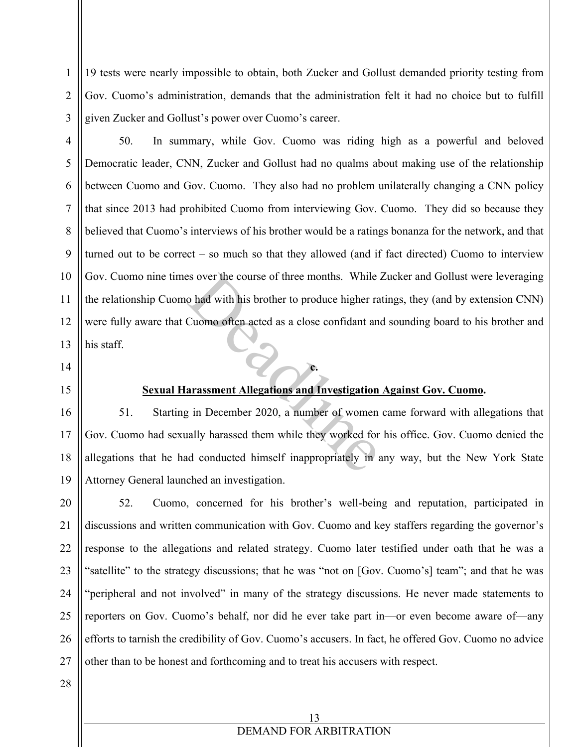19 tests were nearly impossible to obtain, both Zucker and Gollust demanded priority testing from Gov. Cuomo's administration, demands that the administration felt it had no choice but to fulfill given Zucker and Gollust's power over Cuomo's career.

3 4

1

2

5

6

7

8

9

10

11

12

13

50. In summary, while Gov. Cuomo was riding high as a powerful and beloved Democratic leader, CNN, Zucker and Gollust had no qualms about making use of the relationship between Cuomo and Gov. Cuomo. They also had no problem unilaterally changing a CNN policy that since 2013 had prohibited Cuomo from interviewing Gov. Cuomo. They did so because they believed that Cuomo's interviews of his brother would be a ratings bonanza for the network, and that turned out to be correct – so much so that they allowed (and if fact directed) Cuomo to interview Gov. Cuomo nine times over the course of three months. While Zucker and Gollust were leveraging the relationship Cuomo had with his brother to produce higher ratings, they (and by extension CNN) were fully aware that Cuomo often acted as a close confidant and sounding board to his brother and his staff. Sold with his brother to produce higher random and with his brother to produce higher random Cuomo often acted as a close confidant and Cuomo often acted as a close confidant and Cuomo content and Cuomo content and Investi

14

15

16

17

18

19

### **Sexual Harassment Allegations and Investigation Against Gov. Cuomo.**

**c.** 

51. Starting in December 2020, a number of women came forward with allegations that Gov. Cuomo had sexually harassed them while they worked for his office. Gov. Cuomo denied the allegations that he had conducted himself inappropriately in any way, but the New York State Attorney General launched an investigation.

20 21 22 23 24 25 26 27 52. Cuomo, concerned for his brother's well-being and reputation, participated in discussions and written communication with Gov. Cuomo and key staffers regarding the governor's response to the allegations and related strategy. Cuomo later testified under oath that he was a "satellite" to the strategy discussions; that he was "not on [Gov. Cuomo's] team"; and that he was "peripheral and not involved" in many of the strategy discussions. He never made statements to reporters on Gov. Cuomo's behalf, nor did he ever take part in—or even become aware of—any efforts to tarnish the credibility of Gov. Cuomo's accusers. In fact, he offered Gov. Cuomo no advice other than to be honest and forthcoming and to treat his accusers with respect.

28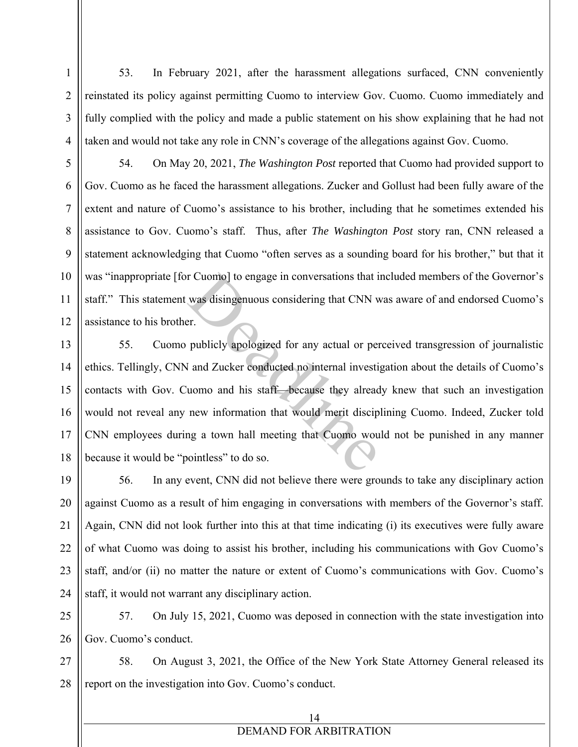53. In February 2021, after the harassment allegations surfaced, CNN conveniently reinstated its policy against permitting Cuomo to interview Gov. Cuomo. Cuomo immediately and fully complied with the policy and made a public statement on his show explaining that he had not taken and would not take any role in CNN's coverage of the allegations against Gov. Cuomo.

1

2

3

4

5

6

7

8

9

10

11

12

54. On May 20, 2021, *The Washington Post* reported that Cuomo had provided support to Gov. Cuomo as he faced the harassment allegations. Zucker and Gollust had been fully aware of the extent and nature of Cuomo's assistance to his brother, including that he sometimes extended his assistance to Gov. Cuomo's staff. Thus, after *The Washington Post* story ran, CNN released a statement acknowledging that Cuomo "often serves as a sounding board for his brother," but that it was "inappropriate [for Cuomo] to engage in conversations that included members of the Governor's staff." This statement was disingenuous considering that CNN was aware of and endorsed Cuomo's assistance to his brother.

13 14 15 16 17 18 55. Cuomo publicly apologized for any actual or perceived transgression of journalistic ethics. Tellingly, CNN and Zucker conducted no internal investigation about the details of Cuomo's contacts with Gov. Cuomo and his staff—because they already knew that such an investigation would not reveal any new information that would merit disciplining Cuomo. Indeed, Zucker told CNN employees during a town hall meeting that Cuomo would not be punished in any manner because it would be "pointless" to do so. r Cuomo] to engage in conversations that i<br>was disingenuous considering that CNN v<br>er.<br>publicly apologized for any actual or per<br>land Zucker conducted no internal investi<br>uomo and his staff—because they alread<br>new informat

19 20 21 22 23 24 56. In any event, CNN did not believe there were grounds to take any disciplinary action against Cuomo as a result of him engaging in conversations with members of the Governor's staff. Again, CNN did not look further into this at that time indicating (i) its executives were fully aware of what Cuomo was doing to assist his brother, including his communications with Gov Cuomo's staff, and/or (ii) no matter the nature or extent of Cuomo's communications with Gov. Cuomo's staff, it would not warrant any disciplinary action.

25 26 57. On July 15, 2021, Cuomo was deposed in connection with the state investigation into Gov. Cuomo's conduct.

27 28 58. On August 3, 2021, the Office of the New York State Attorney General released its report on the investigation into Gov. Cuomo's conduct.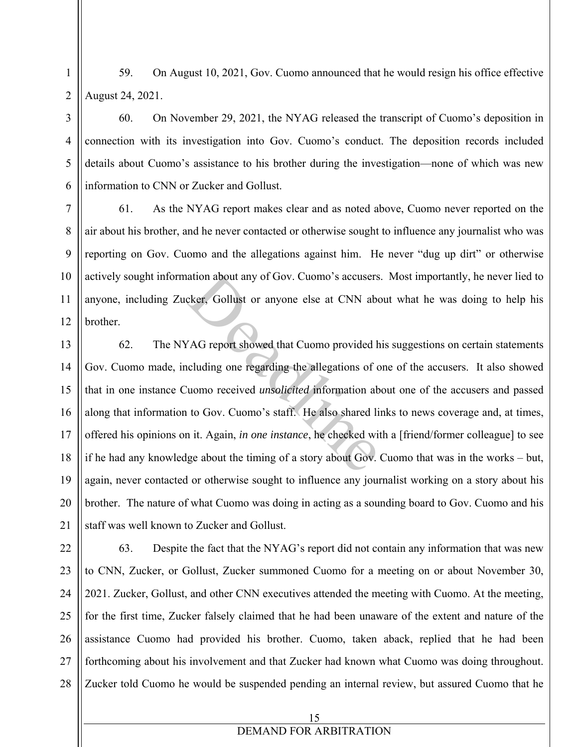1 2 59. On August 10, 2021, Gov. Cuomo announced that he would resign his office effective August 24, 2021.

60. On November 29, 2021, the NYAG released the transcript of Cuomo's deposition in connection with its investigation into Gov. Cuomo's conduct. The deposition records included details about Cuomo's assistance to his brother during the investigation—none of which was new information to CNN or Zucker and Gollust.

61. As the NYAG report makes clear and as noted above, Cuomo never reported on the air about his brother, and he never contacted or otherwise sought to influence any journalist who was reporting on Gov. Cuomo and the allegations against him. He never "dug up dirt" or otherwise actively sought information about any of Gov. Cuomo's accusers. Most importantly, he never lied to anyone, including Zucker, Gollust or anyone else at CNN about what he was doing to help his brother.

62. The NYAG report showed that Cuomo provided his suggestions on certain statements Gov. Cuomo made, including one regarding the allegations of one of the accusers. It also showed that in one instance Cuomo received *unsolicited* information about one of the accusers and passed along that information to Gov. Cuomo's staff. He also shared links to news coverage and, at times, offered his opinions on it. Again, *in one instance*, he checked with a [friend/former colleague] to see if he had any knowledge about the timing of a story about Gov. Cuomo that was in the works – but, again, never contacted or otherwise sought to influence any journalist working on a story about his brother. The nature of what Cuomo was doing in acting as a sounding board to Gov. Cuomo and his staff was well known to Zucker and Gollust. ation about any of Gov. Cuomo's accusers<br>cker, Gollust or anyone else at CNN abo<br>/<br>AG report showed that Cuomo provided h<br>cluding one regarding the allegations of c<br>uomo received *unsolicited* information ab<br>to Gov. Cuomo'

23 24 25 26 27 28 63. Despite the fact that the NYAG's report did not contain any information that was new to CNN, Zucker, or Gollust, Zucker summoned Cuomo for a meeting on or about November 30, 2021. Zucker, Gollust, and other CNN executives attended the meeting with Cuomo. At the meeting, for the first time, Zucker falsely claimed that he had been unaware of the extent and nature of the assistance Cuomo had provided his brother. Cuomo, taken aback, replied that he had been forthcoming about his involvement and that Zucker had known what Cuomo was doing throughout. Zucker told Cuomo he would be suspended pending an internal review, but assured Cuomo that he

3

4

5

6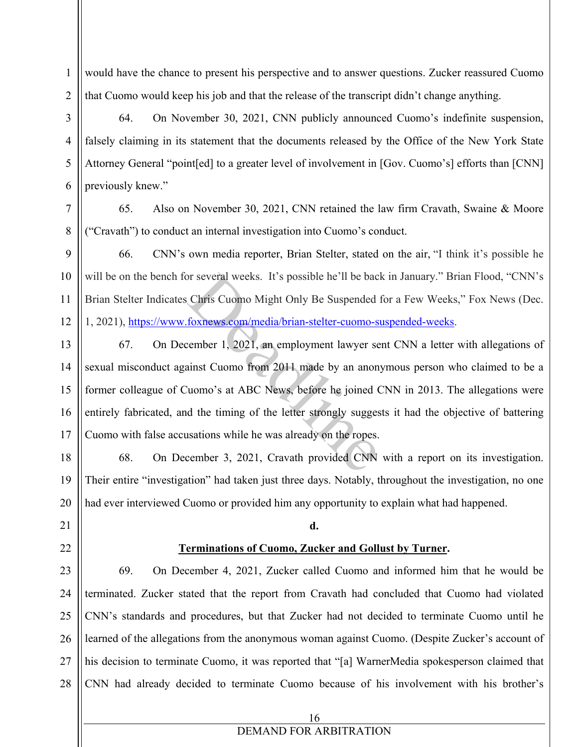1 2 would have the chance to present his perspective and to answer questions. Zucker reassured Cuomo that Cuomo would keep his job and that the release of the transcript didn't change anything.

64. On November 30, 2021, CNN publicly announced Cuomo's indefinite suspension, falsely claiming in its statement that the documents released by the Office of the New York State Attorney General "point[ed] to a greater level of involvement in [Gov. Cuomo's] efforts than [CNN] previously knew."

65. Also on November 30, 2021, CNN retained the law firm Cravath, Swaine & Moore ("Cravath") to conduct an internal investigation into Cuomo's conduct.

9 10 11 12 66. CNN's own media reporter, Brian Stelter, stated on the air, "I think it's possible he will be on the bench for several weeks. It's possible he'll be back in January." Brian Flood, "CNN's Brian Stelter Indicates Chris Cuomo Might Only Be Suspended for a Few Weeks," Fox News (Dec. 1, 2021), https://www.foxnews.com/media/brian-stelter-cuomo-suspended-weeks.

13

14

15

16

17

18

19

20

3

4

5

6

7

8

67. On December 1, 2021, an employment lawyer sent CNN a letter with allegations of sexual misconduct against Cuomo from 2011 made by an anonymous person who claimed to be a former colleague of Cuomo's at ABC News, before he joined CNN in 2013. The allegations were entirely fabricated, and the timing of the letter strongly suggests it had the objective of battering Cuomo with false accusations while he was already on the ropes. or several weeks. It's possible he'll be backtris Cuomo Might Only Be Suspended<br>foxnews.com/media/brian-stelter-cuomo-s<br>cember 1, 2021, an employment lawyer se<br>ainst Cuomo from 2011 made by an anon<br>'uomo's at ABC News, bef

68. On December 3, 2021, Cravath provided CNN with a report on its investigation. Their entire "investigation" had taken just three days. Notably, throughout the investigation, no one had ever interviewed Cuomo or provided him any opportunity to explain what had happened.

- 21
- 22

## **Terminations of Cuomo, Zucker and Gollust by Turner.**

**d.** 

23 24 25 26 27 28 69. On December 4, 2021, Zucker called Cuomo and informed him that he would be terminated. Zucker stated that the report from Cravath had concluded that Cuomo had violated CNN's standards and procedures, but that Zucker had not decided to terminate Cuomo until he learned of the allegations from the anonymous woman against Cuomo. (Despite Zucker's account of his decision to terminate Cuomo, it was reported that "[a] WarnerMedia spokesperson claimed that CNN had already decided to terminate Cuomo because of his involvement with his brother's

16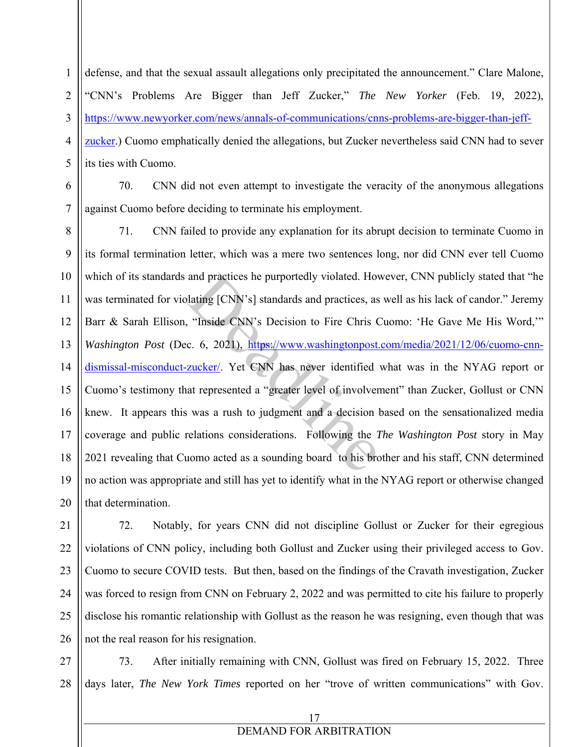defense, and that the sexual assault allegations only precipitated the announcement." Clare Malone, "CNN's Problems Are Bigger than Jeff Zucker," *The New Yorker* (Feb. 19, 2022), https://www.newyorker.com/news/annals-of-communications/cnns-problems-are-bigger-than-jeffzucker.) Cuomo emphatically denied the allegations, but Zucker nevertheless said CNN had to sever its ties with Cuomo.

6

1

2

3

4

5

7

70. CNN did not even attempt to investigate the veracity of the anonymous allegations against Cuomo before deciding to terminate his employment.

8 9 10 11 12 13 14 15 16 17 18 19 20 71. CNN failed to provide any explanation for its abrupt decision to terminate Cuomo in its formal termination letter, which was a mere two sentences long, nor did CNN ever tell Cuomo which of its standards and practices he purportedly violated. However, CNN publicly stated that "he was terminated for violating [CNN's] standards and practices, as well as his lack of candor." Jeremy Barr & Sarah Ellison, "Inside CNN's Decision to Fire Chris Cuomo: 'He Gave Me His Word,'" *Washington Post* (Dec. 6, 2021), https://www.washingtonpost.com/media/2021/12/06/cuomo-cnndismissal-misconduct-zucker/. Yet CNN has never identified what was in the NYAG report or Cuomo's testimony that represented a "greater level of involvement" than Zucker, Gollust or CNN knew. It appears this was a rush to judgment and a decision based on the sensationalized media coverage and public relations considerations. Following the *The Washington Post* story in May 2021 revealing that Cuomo acted as a sounding board to his brother and his staff, CNN determined no action was appropriate and still has yet to identify what in the NYAG report or otherwise changed that determination. and practices he purportedly violated. Howards and practices, as<br>
"Inside CNN's Decision to Fire Chris C<br>
c. 6, 2021), https://www.washingtonpost.<br>
<u>zucker</u>/. Yet CNN has never identified<br>
at represented a "greater level o

21 22 23 24 25 26 72. Notably, for years CNN did not discipline Gollust or Zucker for their egregious violations of CNN policy, including both Gollust and Zucker using their privileged access to Gov. Cuomo to secure COVID tests. But then, based on the findings of the Cravath investigation, Zucker was forced to resign from CNN on February 2, 2022 and was permitted to cite his failure to properly disclose his romantic relationship with Gollust as the reason he was resigning, even though that was not the real reason for his resignation.

27 28 73. After initially remaining with CNN, Gollust was fired on February 15, 2022. Three days later, *The New York Times* reported on her "trove of written communications" with Gov.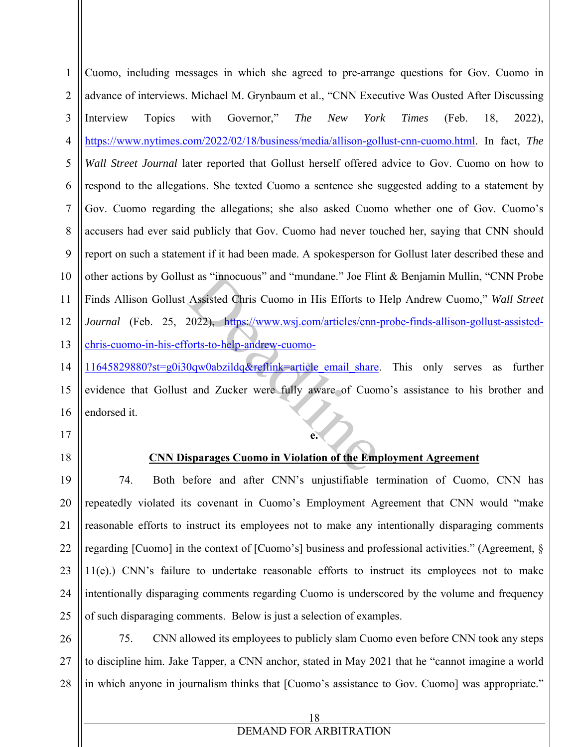1 2 3 4 5 6 7 8 9 10 11 12 13 Cuomo, including messages in which she agreed to pre-arrange questions for Gov. Cuomo in advance of interviews. Michael M. Grynbaum et al., "CNN Executive Was Ousted After Discussing Interview Topics with Governor," *The New York Times* (Feb. 18, 2022), https://www.nytimes.com/2022/02/18/business/media/allison-gollust-cnn-cuomo.html. In fact, *The Wall Street Journal* later reported that Gollust herself offered advice to Gov. Cuomo on how to respond to the allegations. She texted Cuomo a sentence she suggested adding to a statement by Gov. Cuomo regarding the allegations; she also asked Cuomo whether one of Gov. Cuomo's accusers had ever said publicly that Gov. Cuomo had never touched her, saying that CNN should report on such a statement if it had been made. A spokesperson for Gollust later described these and other actions by Gollust as "innocuous" and "mundane." Joe Flint & Benjamin Mullin, "CNN Probe Finds Allison Gollust Assisted Chris Cuomo in His Efforts to Help Andrew Cuomo," *Wall Street Journal* (Feb. 25, 2022), https://www.wsj.com/articles/cnn-probe-finds-allison-gollust-assistedchris-cuomo-in-his-efforts-to-help-andrew-cuomost as "innocuous" and "mundane." Joe Flir<br>Assisted Chris Cuomo in His Efforts to<br>2022), https://www.wsj.com/articles/cnn-<br>forts-to-help-andrew-cuomo-<br>0qw0abzildq&reflink=article email share<br>and Zucker were fully aware of C

14 15 16 11645829880?st=g0i30qw0abzildq&reflink=article\_email\_share. This only serves as further evidence that Gollust and Zucker were fully aware of Cuomo's assistance to his brother and endorsed it.

- 17
- 18

### **CNN Disparages Cuomo in Violation of the Employment Agreement**

**e.** 

19 20 21 22 23 24 25 74. Both before and after CNN's unjustifiable termination of Cuomo, CNN has repeatedly violated its covenant in Cuomo's Employment Agreement that CNN would "make reasonable efforts to instruct its employees not to make any intentionally disparaging comments regarding [Cuomo] in the context of [Cuomo's] business and professional activities." (Agreement, § 11(e).) CNN's failure to undertake reasonable efforts to instruct its employees not to make intentionally disparaging comments regarding Cuomo is underscored by the volume and frequency of such disparaging comments. Below is just a selection of examples.

26 27 28 75. CNN allowed its employees to publicly slam Cuomo even before CNN took any steps to discipline him. Jake Tapper, a CNN anchor, stated in May 2021 that he "cannot imagine a world in which anyone in journalism thinks that [Cuomo's assistance to Gov. Cuomo] was appropriate."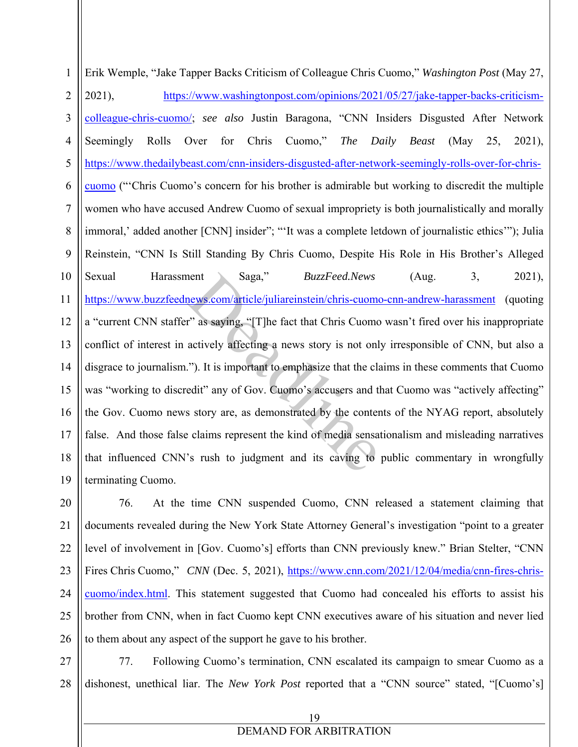1 2 3 4 5 6 7 8 9 10 11 12 13 14 15 16 17 18 19 Erik Wemple, "Jake Tapper Backs Criticism of Colleague Chris Cuomo," *Washington Post* (May 27, 2021), https://www.washingtonpost.com/opinions/2021/05/27/jake-tapper-backs-criticismcolleague-chris-cuomo/; *see also* Justin Baragona, "CNN Insiders Disgusted After Network Seemingly Rolls Over for Chris Cuomo," *The Daily Beast* (May 25, 2021), https://www.thedailybeast.com/cnn-insiders-disgusted-after-network-seemingly-rolls-over-for-chriscuomo ("'Chris Cuomo's concern for his brother is admirable but working to discredit the multiple women who have accused Andrew Cuomo of sexual impropriety is both journalistically and morally immoral,' added another [CNN] insider"; "'It was a complete letdown of journalistic ethics'"); Julia Reinstein, "CNN Is Still Standing By Chris Cuomo, Despite His Role in His Brother's Alleged Sexual Harassment Saga," *BuzzFeed.News* (Aug. 3, 2021), https://www.buzzfeednews.com/article/juliareinstein/chris-cuomo-cnn-andrew-harassment (quoting a "current CNN staffer" as saying, "[T]he fact that Chris Cuomo wasn't fired over his inappropriate conflict of interest in actively affecting a news story is not only irresponsible of CNN, but also a disgrace to journalism."). It is important to emphasize that the claims in these comments that Cuomo was "working to discredit" any of Gov. Cuomo's accusers and that Cuomo was "actively affecting" the Gov. Cuomo news story are, as demonstrated by the contents of the NYAG report, absolutely false. And those false claims represent the kind of media sensationalism and misleading narratives that influenced CNN's rush to judgment and its caving to public commentary in wrongfully terminating Cuomo. Saga," *BuzzFeed.News*<br>news.com/article/juliareinstein/chris-cuome<br>r" as saying, "[T]he fact that Chris Cuome<br>actively affecting a news story is not onl<br>."). It is important to emphasize that the cla<br>edit" any of Gov. Cuom

20 21 22 23 24 25 26 76. At the time CNN suspended Cuomo, CNN released a statement claiming that documents revealed during the New York State Attorney General's investigation "point to a greater level of involvement in [Gov. Cuomo's] efforts than CNN previously knew." Brian Stelter, "CNN Fires Chris Cuomo," *CNN* (Dec. 5, 2021), https://www.cnn.com/2021/12/04/media/cnn-fires-chriscuomo/index.html. This statement suggested that Cuomo had concealed his efforts to assist his brother from CNN, when in fact Cuomo kept CNN executives aware of his situation and never lied to them about any aspect of the support he gave to his brother.

27 28 77. Following Cuomo's termination, CNN escalated its campaign to smear Cuomo as a dishonest, unethical liar. The *New York Post* reported that a "CNN source" stated, "[Cuomo's]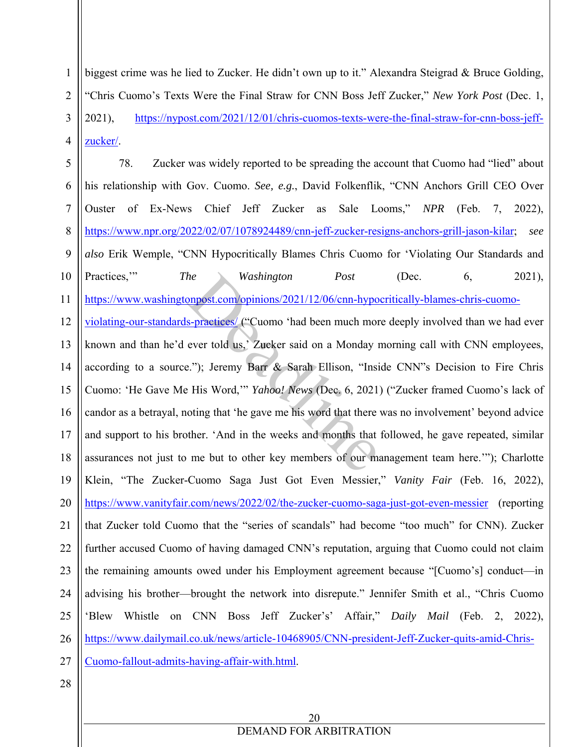biggest crime was he lied to Zucker. He didn't own up to it." Alexandra Steigrad & Bruce Golding, "Chris Cuomo's Texts Were the Final Straw for CNN Boss Jeff Zucker," *New York Post* (Dec. 1, 2021), https://nypost.com/2021/12/01/chris-cuomos-texts-were-the-final-straw-for-cnn-boss-jeffzucker/.

5 6 7 8 9 10 11 12 13 14 15 16 17 18 19 20 21 22 23 24 25 26 27 78. Zucker was widely reported to be spreading the account that Cuomo had "lied" about his relationship with Gov. Cuomo. *See, e.g.*, David Folkenflik, "CNN Anchors Grill CEO Over Ouster of Ex-News Chief Jeff Zucker as Sale Looms," *NPR* (Feb. 7, 2022), https://www.npr.org/2022/02/07/1078924489/cnn-jeff-zucker-resigns-anchors-grill-jason-kilar; *see also* Erik Wemple, "CNN Hypocritically Blames Chris Cuomo for 'Violating Our Standards and Practices," *The Washington Post* (Dec. 6, 2021), https://www.washingtonpost.com/opinions/2021/12/06/cnn-hypocritically-blames-chris-cuomoviolating-our-standards-practices/ ("Cuomo 'had been much more deeply involved than we had ever known and than he'd ever told us,' Zucker said on a Monday morning call with CNN employees, according to a source."); Jeremy Barr & Sarah Ellison, "Inside CNN"s Decision to Fire Chris Cuomo: 'He Gave Me His Word,'" *Yahoo! News* (Dec. 6, 2021) ("Zucker framed Cuomo's lack of candor as a betrayal, noting that 'he gave me his word that there was no involvement' beyond advice and support to his brother. 'And in the weeks and months that followed, he gave repeated, similar assurances not just to me but to other key members of our management team here.'"); Charlotte Klein, "The Zucker-Cuomo Saga Just Got Even Messier," *Vanity Fair* (Feb. 16, 2022), https://www.vanityfair.com/news/2022/02/the-zucker-cuomo-saga-just-got-even-messier (reporting that Zucker told Cuomo that the "series of scandals" had become "too much" for CNN). Zucker further accused Cuomo of having damaged CNN's reputation, arguing that Cuomo could not claim the remaining amounts owed under his Employment agreement because "[Cuomo's] conduct—in advising his brother—brought the network into disrepute." Jennifer Smith et al., "Chris Cuomo 'Blew Whistle on CNN Boss Jeff Zucker's' Affair," *Daily Mail* (Feb. 2, 2022), https://www.dailymail.co.uk/news/article-10468905/CNN-president-Jeff-Zucker-quits-amid-Chris-Cuomo-fallout-admits-having-affair-with.html. *Mashington Post*<br>
<u>Deal ("Cuomo 'had been much more ever told us,</u>" Zucker said on a Monday in<br>
2."); Jeremy Barr & Sarah Ellison, "Insi<br>
2."); Jeremy Barr & Sarah Ellison, "Insi<br>
2."); Jeremy Barr & Sarah Ellison, "Ins

28

1

2

3

4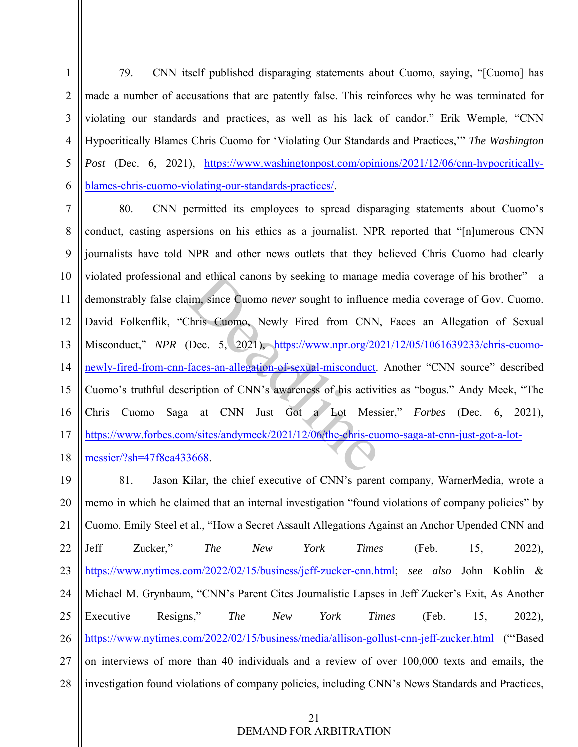2 3 4 5 6 79. CNN itself published disparaging statements about Cuomo, saying, "[Cuomo] has made a number of accusations that are patently false. This reinforces why he was terminated for violating our standards and practices, as well as his lack of candor." Erik Wemple, "CNN Hypocritically Blames Chris Cuomo for 'Violating Our Standards and Practices,'" *The Washington Post* (Dec. 6, 2021), https://www.washingtonpost.com/opinions/2021/12/06/cnn-hypocriticallyblames-chris-cuomo-violating-our-standards-practices/.

1

7 8 9 10 11 12 13 14 15 16 17 18 80. CNN permitted its employees to spread disparaging statements about Cuomo's conduct, casting aspersions on his ethics as a journalist. NPR reported that "[n]umerous CNN journalists have told NPR and other news outlets that they believed Chris Cuomo had clearly violated professional and ethical canons by seeking to manage media coverage of his brother"—a demonstrably false claim, since Cuomo *never* sought to influence media coverage of Gov. Cuomo. David Folkenflik, "Chris Cuomo, Newly Fired from CNN, Faces an Allegation of Sexual Misconduct," *NPR* (Dec. 5, 2021), https://www.npr.org/2021/12/05/1061639233/chris-cuomonewly-fired-from-cnn-faces-an-allegation-of-sexual-misconduct. Another "CNN source" described Cuomo's truthful description of CNN's awareness of his activities as "bogus." Andy Meek, "The Chris Cuomo Saga at CNN Just Got a Lot Messier," *Forbes* (Dec. 6, 2021), https://www.forbes.com/sites/andymeek/2021/12/06/the-chris-cuomo-saga-at-cnn-just-got-a-lotmessier/?sh=47f8ea433668. and ethical canons by seeking to manage<br>
im, since Cuomo *never* sought to influence<br>
Chris Cuomo, Newly Fired from CNN<br>
(Dec. 5, 2021), https://www.npr.org/20<br>
faces-an-allegation-of-sexual-misconduct.<br>
cription of CNN's

21 19 20 21 22 23 24 25 26 27 28 81. Jason Kilar, the chief executive of CNN's parent company, WarnerMedia, wrote a memo in which he claimed that an internal investigation "found violations of company policies" by Cuomo. Emily Steel et al., "How a Secret Assault Allegations Against an Anchor Upended CNN and Jeff Zucker," *The New York Times* (Feb. 15, 2022), https://www.nytimes.com/2022/02/15/business/jeff-zucker-cnn.html; *see also* John Koblin & Michael M. Grynbaum, "CNN's Parent Cites Journalistic Lapses in Jeff Zucker's Exit, As Another Executive Resigns," *The New York Times* (Feb. 15, 2022), https://www.nytimes.com/2022/02/15/business/media/allison-gollust-cnn-jeff-zucker.html ("'Based on interviews of more than 40 individuals and a review of over 100,000 texts and emails, the investigation found violations of company policies, including CNN's News Standards and Practices,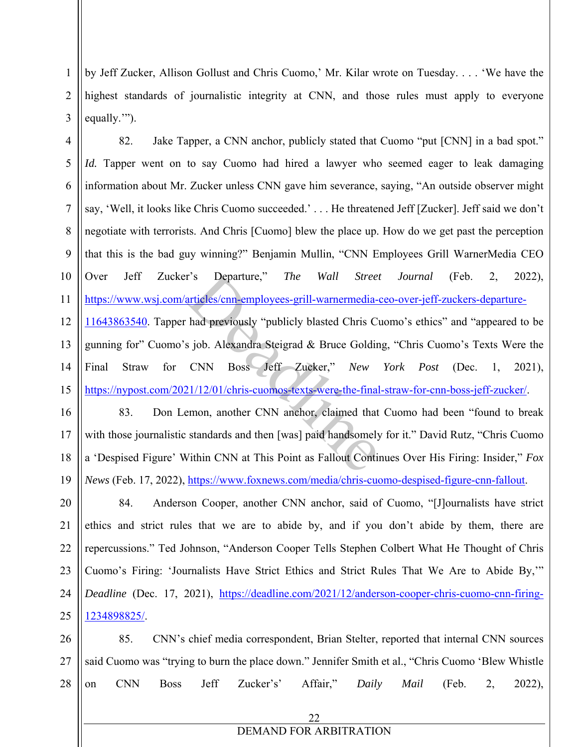by Jeff Zucker, Allison Gollust and Chris Cuomo,' Mr. Kilar wrote on Tuesday. . . . 'We have the highest standards of journalistic integrity at CNN, and those rules must apply to everyone equally."").

1

2

3

4 5 6 7 8 9 10 11 12 13 14 15 82. Jake Tapper, a CNN anchor, publicly stated that Cuomo "put [CNN] in a bad spot." *Id.* Tapper went on to say Cuomo had hired a lawyer who seemed eager to leak damaging information about Mr. Zucker unless CNN gave him severance, saying, "An outside observer might say, 'Well, it looks like Chris Cuomo succeeded.' . . . He threatened Jeff [Zucker]. Jeff said we don't negotiate with terrorists. And Chris [Cuomo] blew the place up. How do we get past the perception that this is the bad guy winning?" Benjamin Mullin, "CNN Employees Grill WarnerMedia CEO Over Jeff Zucker's Departure," *The Wall Street Journal* (Feb. 2, 2022), https://www.wsj.com/articles/cnn-employees-grill-warnermedia-ceo-over-jeff-zuckers-departure-11643863540. Tapper had previously "publicly blasted Chris Cuomo's ethics" and "appeared to be gunning for" Cuomo's job. Alexandra Steigrad & Bruce Golding, "Chris Cuomo's Texts Were the Final Straw for CNN Boss Jeff Zucker," *New York Post* (Dec. 1, 2021), https://nypost.com/2021/12/01/chris-cuomos-texts-were-the-final-straw-for-cnn-boss-jeff-zucker/. r's Departure," The Wall Street<br>
articles/cnn-employees-grill-warnermedia-<br>
had previously "publicly blasted Chris Constant<br>
s job. Alexandra Steigrad & Bruce Goldin<br>
CNN Boss Jeff Zucker," New<br>
21/12/01/chris-cuomos-texts

16 17 18 19 83. Don Lemon, another CNN anchor, claimed that Cuomo had been "found to break with those journalistic standards and then [was] paid handsomely for it." David Rutz, "Chris Cuomo a 'Despised Figure' Within CNN at This Point as Fallout Continues Over His Firing: Insider," *Fox News* (Feb. 17, 2022), https://www.foxnews.com/media/chris-cuomo-despised-figure-cnn-fallout.

20 21 22 23 24 25 84. Anderson Cooper, another CNN anchor, said of Cuomo, "[J]ournalists have strict ethics and strict rules that we are to abide by, and if you don't abide by them, there are repercussions." Ted Johnson, "Anderson Cooper Tells Stephen Colbert What He Thought of Chris Cuomo's Firing: 'Journalists Have Strict Ethics and Strict Rules That We Are to Abide By,'" *Deadline* (Dec. 17, 2021), https://deadline.com/2021/12/anderson-cooper-chris-cuomo-cnn-firing-1234898825/.

26 27 28 85. CNN's chief media correspondent, Brian Stelter, reported that internal CNN sources said Cuomo was "trying to burn the place down." Jennifer Smith et al., "Chris Cuomo 'Blew Whistle on CNN Boss Jeff Zucker's' Affair," *Daily Mail* (Feb. 2, 2022),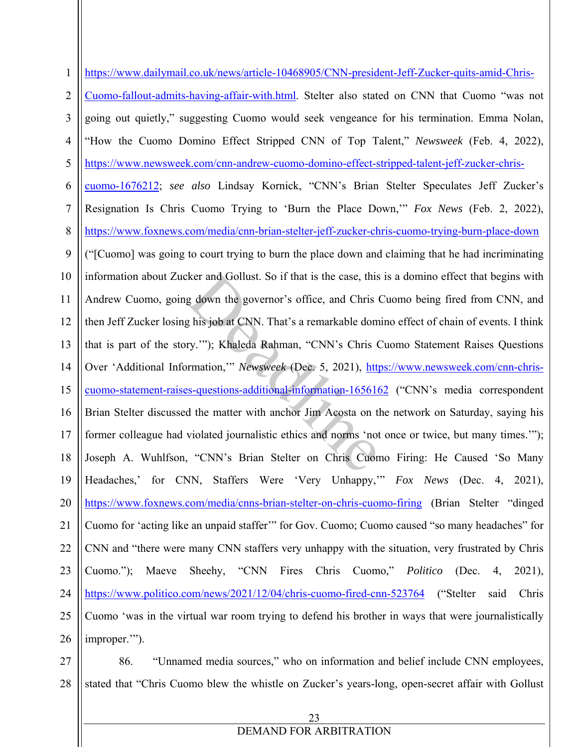1 2 3 4 5 6 7 8 9 10 11 12 13 14 15 16 17 18 19 20 21 22 23 24 25 26 27 28 https://www.dailymail.co.uk/news/article-10468905/CNN-president-Jeff-Zucker-quits-amid-Chris-Cuomo-fallout-admits-having-affair-with.html. Stelter also stated on CNN that Cuomo "was not going out quietly," suggesting Cuomo would seek vengeance for his termination. Emma Nolan, "How the Cuomo Domino Effect Stripped CNN of Top Talent," *Newsweek* (Feb. 4, 2022), https://www.newsweek.com/cnn-andrew-cuomo-domino-effect-stripped-talent-jeff-zucker-chriscuomo-1676212; *see also* Lindsay Kornick, "CNN's Brian Stelter Speculates Jeff Zucker's Resignation Is Chris Cuomo Trying to 'Burn the Place Down,'" *Fox News* (Feb. 2, 2022), https://www.foxnews.com/media/cnn-brian-stelter-jeff-zucker-chris-cuomo-trying-burn-place-down ("[Cuomo] was going to court trying to burn the place down and claiming that he had incriminating information about Zucker and Gollust. So if that is the case, this is a domino effect that begins with Andrew Cuomo, going down the governor's office, and Chris Cuomo being fired from CNN, and then Jeff Zucker losing his job at CNN. That's a remarkable domino effect of chain of events. I think that is part of the story.'"); Khaleda Rahman, "CNN's Chris Cuomo Statement Raises Questions Over 'Additional Information,'" *Newsweek* (Dec. 5, 2021), https://www.newsweek.com/cnn-chriscuomo-statement-raises-questions-additional-information-1656162 ("CNN's media correspondent Brian Stelter discussed the matter with anchor Jim Acosta on the network on Saturday, saying his former colleague had violated journalistic ethics and norms 'not once or twice, but many times.'"); Joseph A. Wuhlfson, "CNN's Brian Stelter on Chris Cuomo Firing: He Caused 'So Many Headaches,' for CNN, Staffers Were 'Very Unhappy,'" *Fox News* (Dec. 4, 2021), https://www.foxnews.com/media/cnns-brian-stelter-on-chris-cuomo-firing (Brian Stelter "dinged Cuomo for 'acting like an unpaid staffer'" for Gov. Cuomo; Cuomo caused "so many headaches" for CNN and "there were many CNN staffers very unhappy with the situation, very frustrated by Chris Cuomo."); Maeve Sheehy, "CNN Fires Chris Cuomo," *Politico* (Dec. 4, 2021), https://www.politico.com/news/2021/12/04/chris-cuomo-fired-cnn-523764 ("Stelter said Chris Cuomo 'was in the virtual war room trying to defend his brother in ways that were journalistically improper."). 86. "Unnamed media sources," who on information and belief include CNN employees, stated that "Chris Cuomo blew the whistle on Zucker's years-long, open-secret affair with Gollust ker and Gollust. So if that is the case, this g down the governor's office, and Chris (<br>g his job at CNN. That's a remarkable dom<br>ry.""); Khaleda Rahman, "CNN's Chris (<br>rrmation,"" *Newsweek* (Dec. 5, 2021), <u>http</u><br>ss-ques

#### 23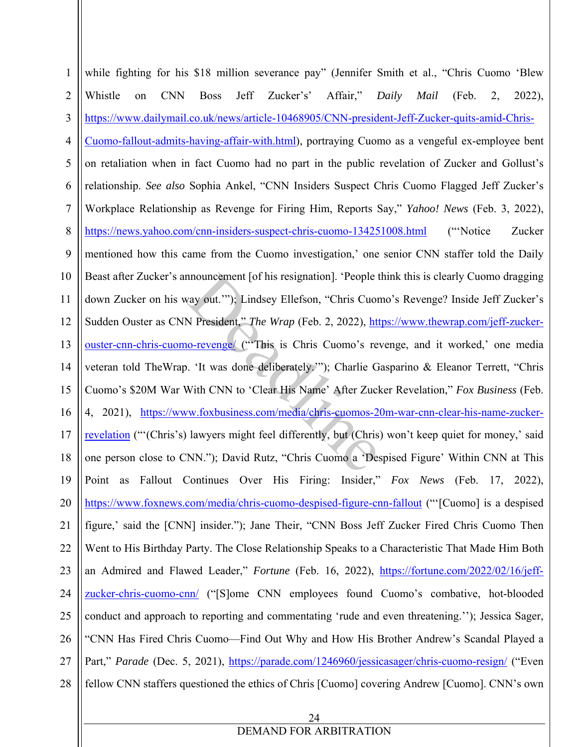24 1 2 3 4 5 6 7 8 9 10 11 12 13 14 15 16 17 18 19 20 21 22 23 24 25 26 27 28 while fighting for his \$18 million severance pay" (Jennifer Smith et al., "Chris Cuomo 'Blew Whistle on CNN Boss Jeff Zucker's' Affair," *Daily Mail* (Feb. 2, 2022), https://www.dailymail.co.uk/news/article-10468905/CNN-president-Jeff-Zucker-quits-amid-Chris-Cuomo-fallout-admits-having-affair-with.html), portraying Cuomo as a vengeful ex-employee bent on retaliation when in fact Cuomo had no part in the public revelation of Zucker and Gollust's relationship. *See also* Sophia Ankel, "CNN Insiders Suspect Chris Cuomo Flagged Jeff Zucker's Workplace Relationship as Revenge for Firing Him, Reports Say," *Yahoo! News* (Feb. 3, 2022), https://news.yahoo.com/cnn-insiders-suspect-chris-cuomo-134251008.html ("Notice Zucker mentioned how this came from the Cuomo investigation,' one senior CNN staffer told the Daily Beast after Zucker's announcement [of his resignation]. 'People think this is clearly Cuomo dragging down Zucker on his way out.'"); Lindsey Ellefson, "Chris Cuomo's Revenge? Inside Jeff Zucker's Sudden Ouster as CNN President," *The Wrap* (Feb. 2, 2022), https://www.thewrap.com/jeff-zuckerouster-cnn-chris-cuomo-revenge/ ("'This is Chris Cuomo's revenge, and it worked,' one media veteran told TheWrap. 'It was done deliberately.'"); Charlie Gasparino & Eleanor Terrett, "Chris Cuomo's \$20M War With CNN to 'Clear His Name' After Zucker Revelation," *Fox Business* (Feb. 4, 2021), https://www.foxbusiness.com/media/chris-cuomos-20m-war-cnn-clear-his-name-zuckerrevelation ("'(Chris's) lawyers might feel differently, but (Chris) won't keep quiet for money,' said one person close to CNN."); David Rutz, "Chris Cuomo a 'Despised Figure' Within CNN at This Point as Fallout Continues Over His Firing: Insider," *Fox News* (Feb. 17, 2022), https://www.foxnews.com/media/chris-cuomo-despised-figure-cnn-fallout ("'[Cuomo] is a despised figure,' said the [CNN] insider."); Jane Their, "CNN Boss Jeff Zucker Fired Chris Cuomo Then Went to His Birthday Party. The Close Relationship Speaks to a Characteristic That Made Him Both an Admired and Flawed Leader," *Fortune* (Feb. 16, 2022), https://fortune.com/2022/02/16/jeffzucker-chris-cuomo-cnn/ ("[S]ome CNN employees found Cuomo's combative, hot-blooded conduct and approach to reporting and commentating 'rude and even threatening.''); Jessica Sager, "CNN Has Fired Chris Cuomo—Find Out Why and How His Brother Andrew's Scandal Played a Part," *Parade* (Dec. 5, 2021), https://parade.com/1246960/jessicasager/chris-cuomo-resign/ ("Even fellow CNN staffers questioned the ethics of Chris [Cuomo] covering Andrew [Cuomo]. CNN's own nouncement [of his resignation]. 'People tway out.'"); Lindsey Ellefson, "Chris Cuor<br>N President," *The Wrap* (Feb. 2, 2022), http://www.forcemeral.org/mailson.com/sidently."); Charlie G<br>With CNN to 'Clear His Name' After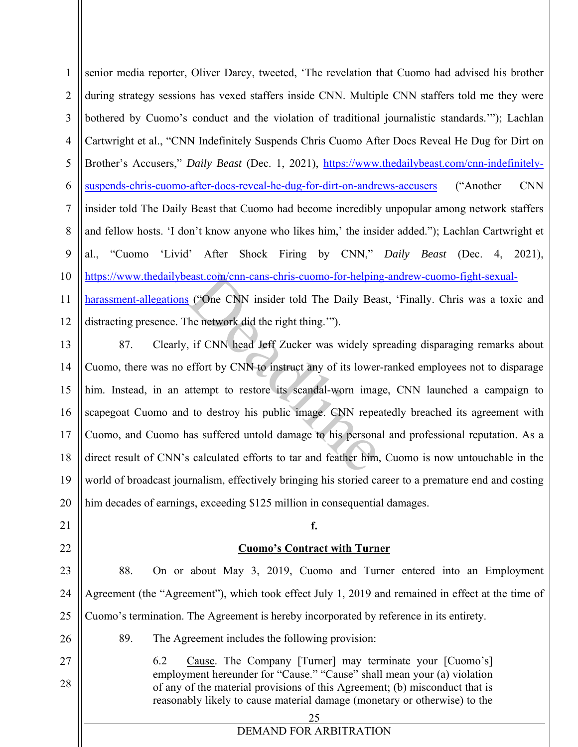1 2 3 4 5 6 7 8 9 10 11 12 senior media reporter, Oliver Darcy, tweeted, 'The revelation that Cuomo had advised his brother during strategy sessions has vexed staffers inside CNN. Multiple CNN staffers told me they were bothered by Cuomo's conduct and the violation of traditional journalistic standards.'"); Lachlan Cartwright et al., "CNN Indefinitely Suspends Chris Cuomo After Docs Reveal He Dug for Dirt on Brother's Accusers," *Daily Beast* (Dec. 1, 2021), https://www.thedailybeast.com/cnn-indefinitelysuspends-chris-cuomo-after-docs-reveal-he-dug-for-dirt-on-andrews-accusers ("Another CNN insider told The Daily Beast that Cuomo had become incredibly unpopular among network staffers and fellow hosts. 'I don't know anyone who likes him,' the insider added."); Lachlan Cartwright et al., "Cuomo 'Livid' After Shock Firing by CNN," *Daily Beast* (Dec. 4, 2021), https://www.thedailybeast.com/cnn-cans-chris-cuomo-for-helping-andrew-cuomo-fight-sexualharassment-allegations ("One CNN insider told The Daily Beast, 'Finally. Chris was a toxic and distracting presence. The network did the right thing.'").

13

14 15 16 17 18 19 20 87. Clearly, if CNN head Jeff Zucker was widely spreading disparaging remarks about Cuomo, there was no effort by CNN to instruct any of its lower-ranked employees not to disparage him. Instead, in an attempt to restore its scandal-worn image, CNN launched a campaign to scapegoat Cuomo and to destroy his public image. CNN repeatedly breached its agreement with Cuomo, and Cuomo has suffered untold damage to his personal and professional reputation. As a direct result of CNN's calculated efforts to tar and feather him, Cuomo is now untouchable in the world of broadcast journalism, effectively bringing his storied career to a premature end and costing him decades of earnings, exceeding \$125 million in consequential damages. Execution Comparison Comparison Comparison Comparison Service 2.1 The network did the right thing."").<br>
The network did the right thing."").<br>
The network did the right thing."").<br>
The network did the right thing."").<br>
It i

- 21
- 22
- 

23

24 25 Agreement (the "Agreement"), which took effect July 1, 2019 and remained in effect at the time of Cuomo's termination. The Agreement is hereby incorporated by reference in its entirety.

**f.** 

**Cuomo's Contract with Turner**

88. On or about May 3, 2019, Cuomo and Turner entered into an Employment

26

27

28

89. The Agreement includes the following provision:

6.2 Cause. The Company [Turner] may terminate your [Cuomo's] employment hereunder for "Cause." "Cause" shall mean your (a) violation of any of the material provisions of this Agreement; (b) misconduct that is reasonably likely to cause material damage (monetary or otherwise) to the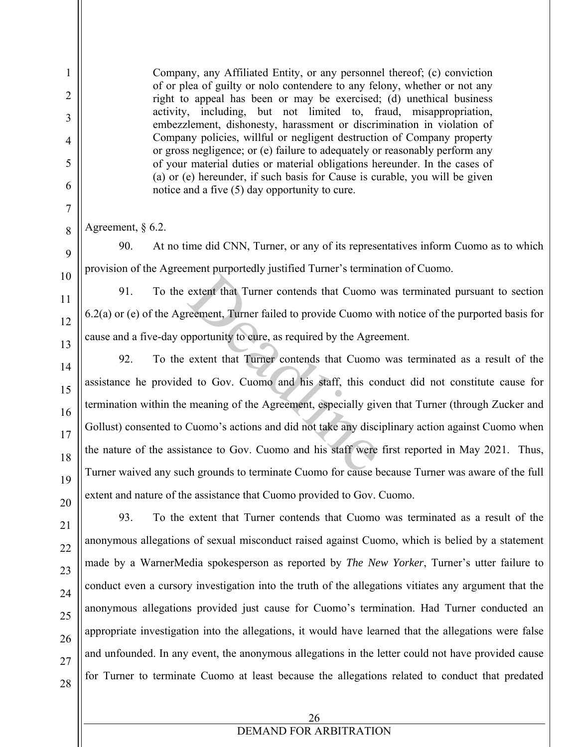Company, any Affiliated Entity, or any personnel thereof; (c) conviction of or plea of guilty or nolo contendere to any felony, whether or not any right to appeal has been or may be exercised; (d) unethical business activity, including, but not limited to, fraud, misappropriation, embezzlement, dishonesty, harassment or discrimination in violation of Company policies, willful or negligent destruction of Company property or gross negligence; or (e) failure to adequately or reasonably perform any of your material duties or material obligations hereunder. In the cases of (a) or (e) hereunder, if such basis for Cause is curable, you will be given notice and a five (5) day opportunity to cure.

Agreement, § 6.2.

90. At no time did CNN, Turner, or any of its representatives inform Cuomo as to which provision of the Agreement purportedly justified Turner's termination of Cuomo.

91. To the extent that Turner contends that Cuomo was terminated pursuant to section 6.2(a) or (e) of the Agreement, Turner failed to provide Cuomo with notice of the purported basis for cause and a five-day opportunity to cure, as required by the Agreement.

92. To the extent that Turner contends that Cuomo was terminated as a result of the assistance he provided to Gov. Cuomo and his staff, this conduct did not constitute cause for termination within the meaning of the Agreement, especially given that Turner (through Zucker and Gollust) consented to Cuomo's actions and did not take any disciplinary action against Cuomo when the nature of the assistance to Gov. Cuomo and his staff were first reported in May 2021. Thus, Turner waived any such grounds to terminate Cuomo for cause because Turner was aware of the full extent and nature of the assistance that Cuomo provided to Gov. Cuomo. extent that Turner contends that Cuomo<br>reement, Turner failed to provide Cuomo w<br>pportunity to cure, as required by the Agre<br>extent that Turner contends that Cuomo<br>d to Gov. Cuomo and his staff, this co<br>meaning of the Agre

93. To the extent that Turner contends that Cuomo was terminated as a result of the anonymous allegations of sexual misconduct raised against Cuomo, which is belied by a statement made by a WarnerMedia spokesperson as reported by *The New Yorker*, Turner's utter failure to conduct even a cursory investigation into the truth of the allegations vitiates any argument that the anonymous allegations provided just cause for Cuomo's termination. Had Turner conducted an appropriate investigation into the allegations, it would have learned that the allegations were false and unfounded. In any event, the anonymous allegations in the letter could not have provided cause for Turner to terminate Cuomo at least because the allegations related to conduct that predated

1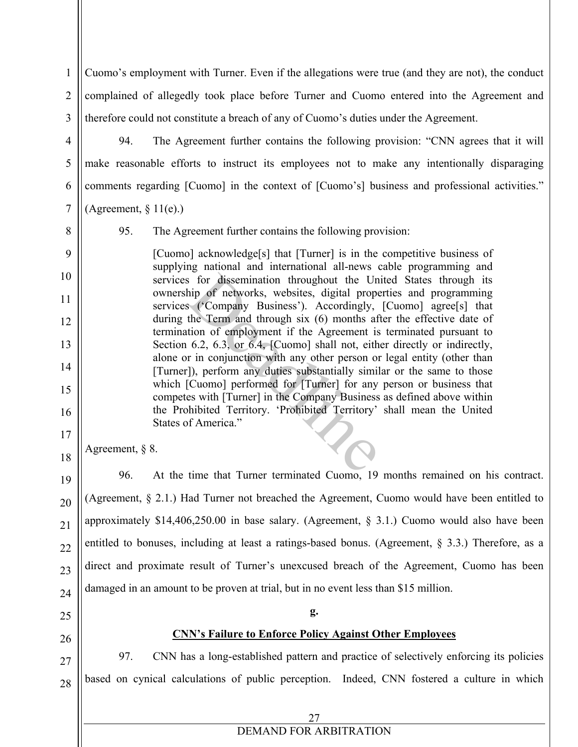1 2 3 Cuomo's employment with Turner. Even if the allegations were true (and they are not), the conduct complained of allegedly took place before Turner and Cuomo entered into the Agreement and therefore could not constitute a breach of any of Cuomo's duties under the Agreement.

4 5 6

94. The Agreement further contains the following provision: "CNN agrees that it will make reasonable efforts to instruct its employees not to make any intentionally disparaging comments regarding [Cuomo] in the context of [Cuomo's] business and professional activities."

(Agreement,  $\S 11(e)$ .)

7

8

9

10

11

12

13

14

15

16

17

18

19

20

21

22

23

24

95. The Agreement further contains the following provision:

[Cuomo] acknowledge[s] that [Turner] is in the competitive business of supplying national and international all-news cable programming and services for dissemination throughout the United States through its ownership of networks, websites, digital properties and programming services ('Company Business'). Accordingly, [Cuomo] agree[s] that during the Term and through six (6) months after the effective date of termination of employment if the Agreement is terminated pursuant to Section 6.2, 6.3, or 6.4, [Cuomo] shall not, either directly or indirectly, alone or in conjunction with any other person or legal entity (other than [Turner]), perform any duties substantially similar or the same to those which [Cuomo] performed for [Turner] for any person or business that competes with [Turner] in the Company Business as defined above within the Prohibited Territory. 'Prohibited Territory' shall mean the United States of America." is for dissemination throughout the Un<br>hip of networks, websites, digital prope<br>s ('Company Business'). Accordingly,<br>the Term and through six (6) months af<br>tion of employment if the Agreement is<br>6.2, 6.3, or 6.4, [Cuomo] s

Agreement, § 8.

96. At the time that Turner terminated Cuomo, 19 months remained on his contract. (Agreement, § 2.1.) Had Turner not breached the Agreement, Cuomo would have been entitled to approximately \$14,406,250.00 in base salary. (Agreement, § 3.1.) Cuomo would also have been entitled to bonuses, including at least a ratings-based bonus. (Agreement, § 3.3.) Therefore, as a direct and proximate result of Turner's unexcused breach of the Agreement, Cuomo has been damaged in an amount to be proven at trial, but in no event less than \$15 million.

**g.** 

**CNN's Failure to Enforce Policy Against Other Employees** 

25

26

27

28

97. CNN has a long-established pattern and practice of selectively enforcing its policies based on cynical calculations of public perception. Indeed, CNN fostered a culture in which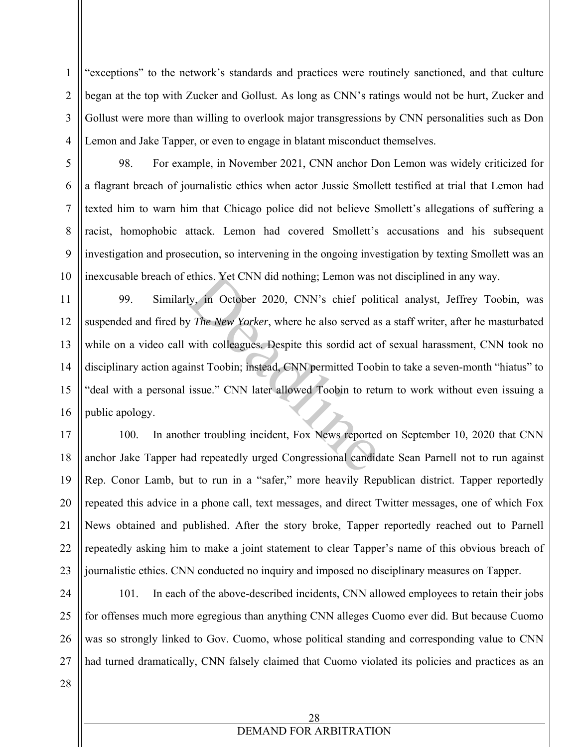"exceptions" to the network's standards and practices were routinely sanctioned, and that culture began at the top with Zucker and Gollust. As long as CNN's ratings would not be hurt, Zucker and Gollust were more than willing to overlook major transgressions by CNN personalities such as Don Lemon and Jake Tapper, or even to engage in blatant misconduct themselves.

98. For example, in November 2021, CNN anchor Don Lemon was widely criticized for a flagrant breach of journalistic ethics when actor Jussie Smollett testified at trial that Lemon had texted him to warn him that Chicago police did not believe Smollett's allegations of suffering a racist, homophobic attack. Lemon had covered Smollett's accusations and his subsequent investigation and prosecution, so intervening in the ongoing investigation by texting Smollett was an inexcusable breach of ethics. Yet CNN did nothing; Lemon was not disciplined in any way.

16 99. Similarly, in October 2020, CNN's chief political analyst, Jeffrey Toobin, was suspended and fired by *The New Yorker*, where he also served as a staff writer, after he masturbated while on a video call with colleagues. Despite this sordid act of sexual harassment, CNN took no disciplinary action against Toobin; instead, CNN permitted Toobin to take a seven-month "hiatus" to "deal with a personal issue." CNN later allowed Toobin to return to work without even issuing a public apology. ethics. Yet CNN did nothing; Lemon was a<br>ly, in October 2020, CNN's chief polity<br>*The New Yorker*, where he also served as<br>with colleagues. Despite this sordid act co<br>inst Toobin; instead, CNN permitted Toob<br>issue." CNN la

17 18 19 20 21 22 23 100. In another troubling incident, Fox News reported on September 10, 2020 that CNN anchor Jake Tapper had repeatedly urged Congressional candidate Sean Parnell not to run against Rep. Conor Lamb, but to run in a "safer," more heavily Republican district. Tapper reportedly repeated this advice in a phone call, text messages, and direct Twitter messages, one of which Fox News obtained and published. After the story broke, Tapper reportedly reached out to Parnell repeatedly asking him to make a joint statement to clear Tapper's name of this obvious breach of journalistic ethics. CNN conducted no inquiry and imposed no disciplinary measures on Tapper.

24 25 26 27 101. In each of the above-described incidents, CNN allowed employees to retain their jobs for offenses much more egregious than anything CNN alleges Cuomo ever did. But because Cuomo was so strongly linked to Gov. Cuomo, whose political standing and corresponding value to CNN had turned dramatically, CNN falsely claimed that Cuomo violated its policies and practices as an

28

1

2

3

4

5

6

7

8

9

10

11

12

13

14

15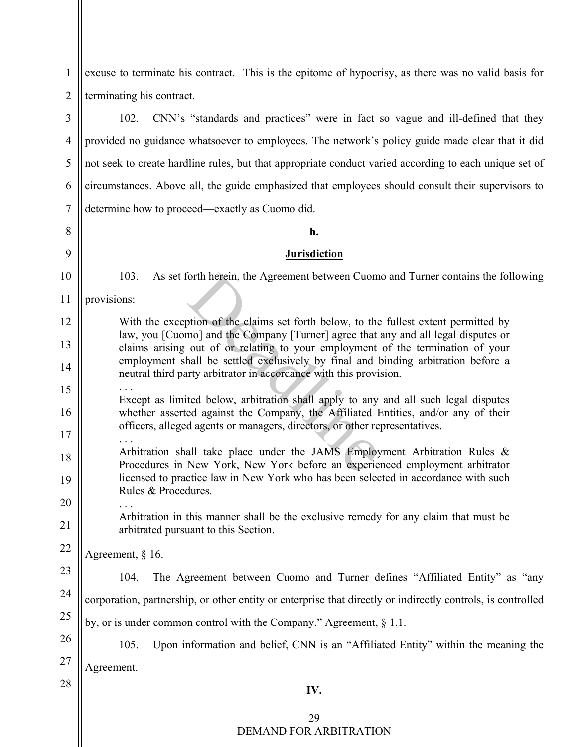1 2 3 4 excuse to terminate his contract. This is the epitome of hypocrisy, as there was no valid basis for terminating his contract. 102. CNN's "standards and practices" were in fact so vague and ill-defined that they provided no guidance whatsoever to employees. The network's policy guide made clear that it did

5 6 7 not seek to create hardline rules, but that appropriate conduct varied according to each unique set of circumstances. Above all, the guide emphasized that employees should consult their supervisors to determine how to proceed—exactly as Cuomo did.

#### **h.**

### **Jurisdiction**

103. As set forth herein, the Agreement between Cuomo and Turner contains the following

8

9

10

12

13

14

15

16

17

21

22

23

24

25

26

11 provisions:

With the exception of the claims set forth below, to the fullest extent permitted by law, you [Cuomo] and the Company [Turner] agree that any and all legal disputes or claims arising out of or relating to your employment of the termination of your employment shall be settled exclusively by final and binding arbitration before a neutral third party arbitrator in accordance with this provision. Forth herein, the Agreement between Cuom<br>position of the claims set forth below, to the<br>mol and the Company [Turner] agree that<br>out of or relating to your employment<br>hall be settled exclusively by final and l<br>urty arbitrat

. . . Except as limited below, arbitration shall apply to any and all such legal disputes whether asserted against the Company, the Affiliated Entities, and/or any of their officers, alleged agents or managers, directors, or other representatives.

18 19 20 Arbitration shall take place under the JAMS Employment Arbitration Rules & Procedures in New York, New York before an experienced employment arbitrator licensed to practice law in New York who has been selected in accordance with such Rules & Procedures.

. . . Arbitration in this manner shall be the exclusive remedy for any claim that must be arbitrated pursuant to this Section.

Agreement, § 16.

104. The Agreement between Cuomo and Turner defines "Affiliated Entity" as "any corporation, partnership, or other entity or enterprise that directly or indirectly controls, is controlled

by, or is under common control with the Company." Agreement, § 1.1.

105. Upon information and belief, CNN is an "Affiliated Entity" within the meaning the

27 Agreement.

28

**IV.**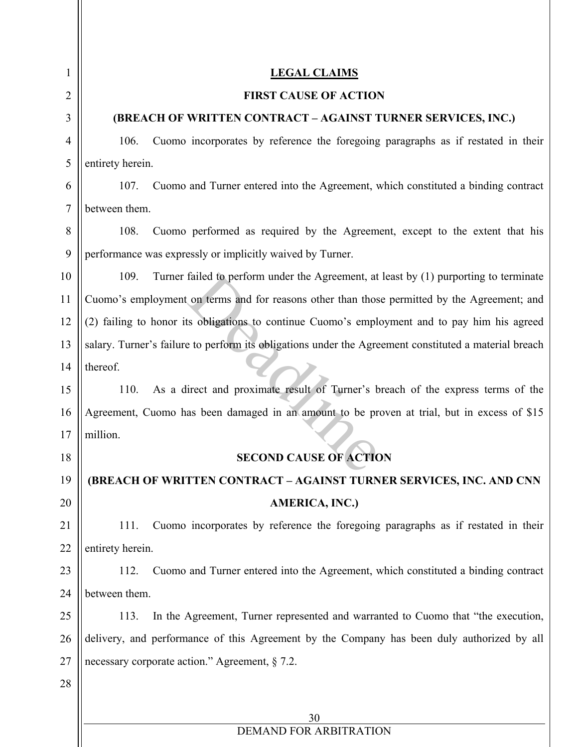| 1  | <b>LEGAL CLAIMS</b>                                                                                   |  |  |  |  |  |  |
|----|-------------------------------------------------------------------------------------------------------|--|--|--|--|--|--|
| 2  | <b>FIRST CAUSE OF ACTION</b>                                                                          |  |  |  |  |  |  |
| 3  | (BREACH OF WRITTEN CONTRACT - AGAINST TURNER SERVICES, INC.)                                          |  |  |  |  |  |  |
| 4  | Cuomo incorporates by reference the foregoing paragraphs as if restated in their<br>106.              |  |  |  |  |  |  |
| 5  | entirety herein.                                                                                      |  |  |  |  |  |  |
| 6  | Cuomo and Turner entered into the Agreement, which constituted a binding contract<br>107.             |  |  |  |  |  |  |
| 7  | between them.                                                                                         |  |  |  |  |  |  |
| 8  | Cuomo performed as required by the Agreement, except to the extent that his<br>108.                   |  |  |  |  |  |  |
| 9  | performance was expressly or implicitly waived by Turner.                                             |  |  |  |  |  |  |
| 10 | 109.<br>Turner failed to perform under the Agreement, at least by (1) purporting to terminate         |  |  |  |  |  |  |
| 11 | Cuomo's employment on terms and for reasons other than those permitted by the Agreement; and          |  |  |  |  |  |  |
| 12 | (2) failing to honor its obligations to continue Cuomo's employment and to pay him his agreed         |  |  |  |  |  |  |
| 13 | salary. Turner's failure to perform its obligations under the Agreement constituted a material breach |  |  |  |  |  |  |
| 14 | thereof.                                                                                              |  |  |  |  |  |  |
| 15 | As a direct and proximate result of Turner's breach of the express terms of the<br>110.               |  |  |  |  |  |  |
| 16 | Agreement, Cuomo has been damaged in an amount to be proven at trial, but in excess of \$15           |  |  |  |  |  |  |
| 17 | million.                                                                                              |  |  |  |  |  |  |
| 18 | <b>SECOND CAUSE OF ACTION</b>                                                                         |  |  |  |  |  |  |
| 19 | (BREACH OF WRITTEN CONTRACT - AGAINST TURNER SERVICES, INC. AND CNN                                   |  |  |  |  |  |  |
| 20 | AMERICA, INC.)                                                                                        |  |  |  |  |  |  |
| 21 | Cuomo incorporates by reference the foregoing paragraphs as if restated in their<br>111.              |  |  |  |  |  |  |
| 22 | entirety herein.                                                                                      |  |  |  |  |  |  |
| 23 | Cuomo and Turner entered into the Agreement, which constituted a binding contract<br>112.             |  |  |  |  |  |  |
| 24 | between them.                                                                                         |  |  |  |  |  |  |
| 25 | In the Agreement, Turner represented and warranted to Cuomo that "the execution,<br>113.              |  |  |  |  |  |  |
| 26 | delivery, and performance of this Agreement by the Company has been duly authorized by all            |  |  |  |  |  |  |
| 27 | necessary corporate action." Agreement, $\S$ 7.2.                                                     |  |  |  |  |  |  |
| 28 |                                                                                                       |  |  |  |  |  |  |
|    | 30                                                                                                    |  |  |  |  |  |  |
|    | DEMAND FOR ARBITRATION                                                                                |  |  |  |  |  |  |

Ш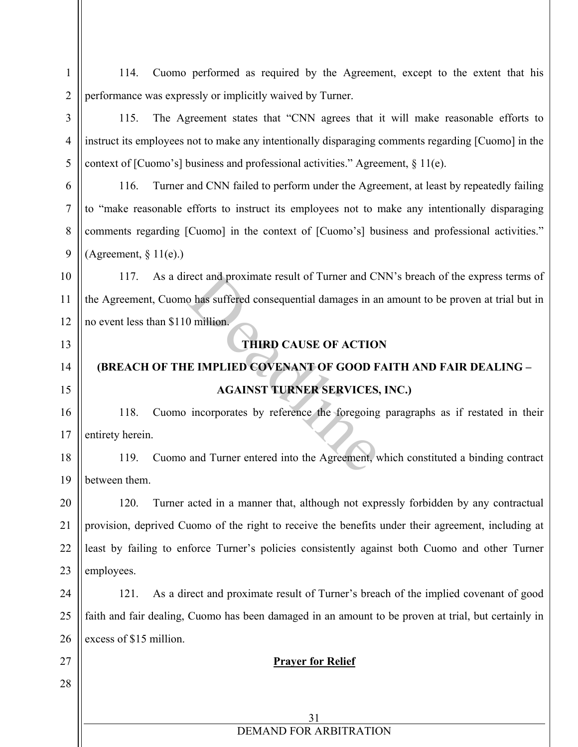1 2 3 4 5 114. Cuomo performed as required by the Agreement, except to the extent that his performance was expressly or implicitly waived by Turner. 115. The Agreement states that "CNN agrees that it will make reasonable efforts to instruct its employees not to make any intentionally disparaging comments regarding [Cuomo] in the context of [Cuomo's] business and professional activities." Agreement, § 11(e).

116. Turner and CNN failed to perform under the Agreement, at least by repeatedly failing to "make reasonable efforts to instruct its employees not to make any intentionally disparaging comments regarding [Cuomo] in the context of [Cuomo's] business and professional activities." (Agreement,  $\S 11(e)$ .)

10 11 12 117. As a direct and proximate result of Turner and CNN's breach of the express terms of the Agreement, Cuomo has suffered consequential damages in an amount to be proven at trial but in no event less than \$110 million. rect and proximate result of Turner and Cl<br>
o has suffered consequential damages in an<br>
0 million.<br>
THIRD CAUSE OF ACTION<br>
E IMPLIED COVENANT OF GOOD F<br>
AGAINST TURNER SERVICES,<br>
incorporates by reference the foregoing<br>
an

13

6

7

8

9

14 15

27

28

### **THIRD CAUSE OF ACTION**

# **(BREACH OF THE IMPLIED COVENANT OF GOOD FAITH AND FAIR DEALING – AGAINST TURNER SERVICES, INC.)**

16 17 118. Cuomo incorporates by reference the foregoing paragraphs as if restated in their entirety herein.

18 19 119. Cuomo and Turner entered into the Agreement, which constituted a binding contract between them.

20 21 22 23 120. Turner acted in a manner that, although not expressly forbidden by any contractual provision, deprived Cuomo of the right to receive the benefits under their agreement, including at least by failing to enforce Turner's policies consistently against both Cuomo and other Turner employees.

24 25 26 121. As a direct and proximate result of Turner's breach of the implied covenant of good faith and fair dealing, Cuomo has been damaged in an amount to be proven at trial, but certainly in excess of \$15 million.

### **Prayer for Relief**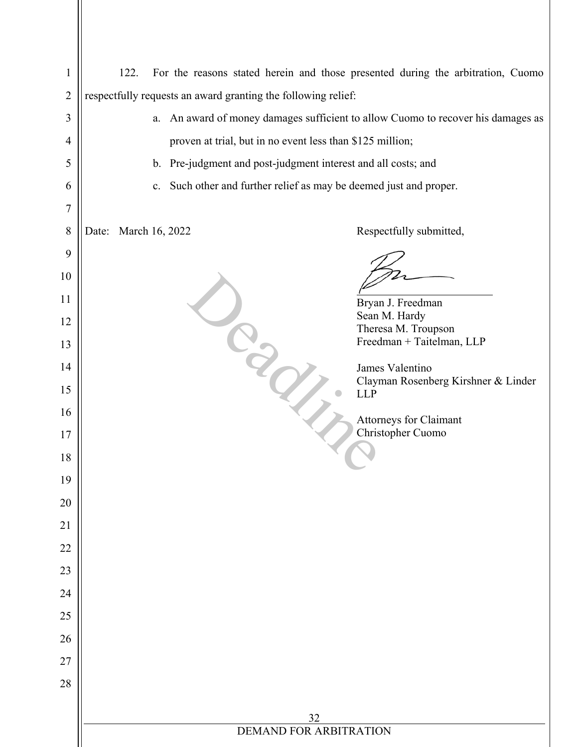| $\mathbf{1}$   | 122.<br>For the reasons stated herein and those presented during the arbitration, Cuomo |                                                               |  |  |  |  |  |  |  |
|----------------|-----------------------------------------------------------------------------------------|---------------------------------------------------------------|--|--|--|--|--|--|--|
| $\overline{2}$ |                                                                                         | respectfully requests an award granting the following relief: |  |  |  |  |  |  |  |
| 3              | a. An award of money damages sufficient to allow Cuomo to recover his damages as        |                                                               |  |  |  |  |  |  |  |
| $\overline{4}$ | proven at trial, but in no event less than \$125 million;                               |                                                               |  |  |  |  |  |  |  |
| 5              | b. Pre-judgment and post-judgment interest and all costs; and                           |                                                               |  |  |  |  |  |  |  |
| 6              | c. Such other and further relief as may be deemed just and proper.                      |                                                               |  |  |  |  |  |  |  |
| 7              |                                                                                         |                                                               |  |  |  |  |  |  |  |
| 8              | Date: March 16, 2022                                                                    | Respectfully submitted,                                       |  |  |  |  |  |  |  |
| 9              |                                                                                         |                                                               |  |  |  |  |  |  |  |
| 10             |                                                                                         |                                                               |  |  |  |  |  |  |  |
| 11             |                                                                                         | Bryan J. Freedman<br>Sean M. Hardy                            |  |  |  |  |  |  |  |
| 12             |                                                                                         | Theresa M. Troupson<br>Freedman + Taitelman, LLP              |  |  |  |  |  |  |  |
| 13<br>14       |                                                                                         | James Valentino                                               |  |  |  |  |  |  |  |
| 15             |                                                                                         | Clayman Rosenberg Kirshner & Linder                           |  |  |  |  |  |  |  |
| 16             |                                                                                         | <b>LLP</b>                                                    |  |  |  |  |  |  |  |
| 17             |                                                                                         | <b>Attorneys for Claimant</b><br>Christopher Cuomo            |  |  |  |  |  |  |  |
| 18             |                                                                                         |                                                               |  |  |  |  |  |  |  |
| 19             |                                                                                         |                                                               |  |  |  |  |  |  |  |
| 20             |                                                                                         |                                                               |  |  |  |  |  |  |  |
| 21             |                                                                                         |                                                               |  |  |  |  |  |  |  |
| 22             |                                                                                         |                                                               |  |  |  |  |  |  |  |
| 23             |                                                                                         |                                                               |  |  |  |  |  |  |  |
| 24             |                                                                                         |                                                               |  |  |  |  |  |  |  |
| 25             |                                                                                         |                                                               |  |  |  |  |  |  |  |
| 26             |                                                                                         |                                                               |  |  |  |  |  |  |  |
| 27             |                                                                                         |                                                               |  |  |  |  |  |  |  |
| 28             |                                                                                         |                                                               |  |  |  |  |  |  |  |
|                | 32                                                                                      |                                                               |  |  |  |  |  |  |  |
|                | DEMAND FOR ARBITRATION                                                                  |                                                               |  |  |  |  |  |  |  |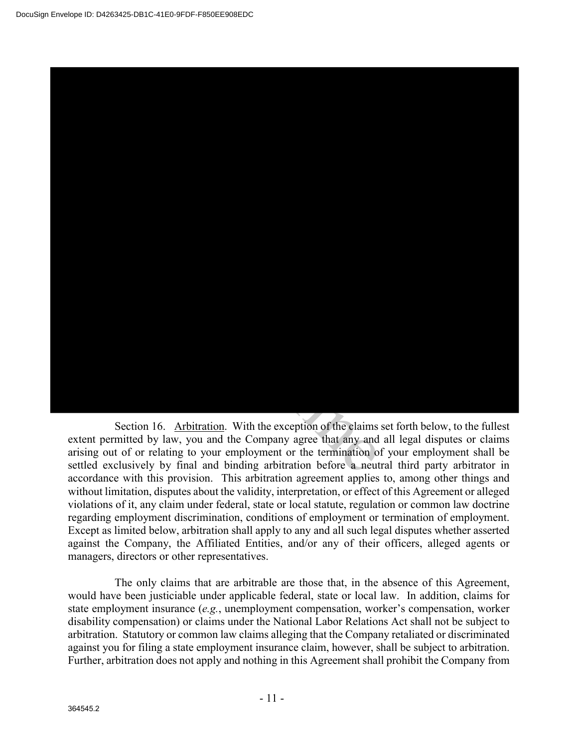

Section 16. Arbitration. With the exception of the claims set forth below, to the fullest extent permitted by law, you and the Company agree that any and all legal disputes or claims arising out of or relating to your employment or the termination of your employment shall be settled exclusively by final and binding arbitration before a neutral third party arbitrator in accordance with this provision. This arbitration agreement applies to, among other things and without limitation, disputes about the validity, interpretation, or effect of this Agreement or alleged violations of it, any claim under federal, state or local statute, regulation or common law doctrine regarding employment discrimination, conditions of employment or termination of employment. Except as limited below, arbitration shall apply to any and all such legal disputes whether asserted against the Company, the Affiliated Entities, and/or any of their officers, alleged agents or managers, directors or other representatives.

The only claims that are arbitrable are those that, in the absence of this Agreement, would have been justiciable under applicable federal, state or local law. In addition, claims for state employment insurance (*e.g.*, unemployment compensation, worker's compensation, worker disability compensation) or claims under the National Labor Relations Act shall not be subject to arbitration. Statutory or common law claims alleging that the Company retaliated or discriminated against you for filing a state employment insurance claim, however, shall be subject to arbitration. Further, arbitration does not apply and nothing in this Agreement shall prohibit the Company from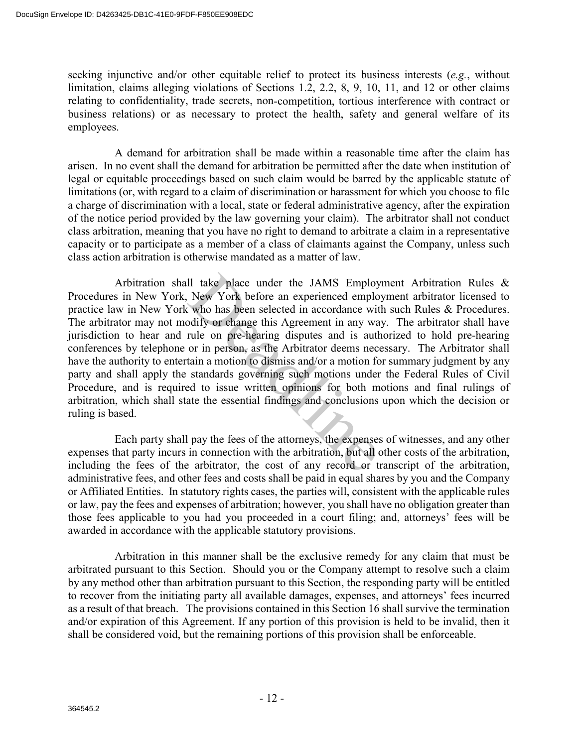seeking injunctive and/or other equitable relief to protect its business interests (*e.g.*, without limitation, claims alleging violations of Sections 1.2, 2.2, 8, 9, 10, 11, and 12 or other claims relating to confidentiality, trade secrets, non-competition, tortious interference with contract or business relations) or as necessary to protect the health, safety and general welfare of its employees.

A demand for arbitration shall be made within a reasonable time after the claim has arisen. In no event shall the demand for arbitration be permitted after the date when institution of legal or equitable proceedings based on such claim would be barred by the applicable statute of limitations (or, with regard to a claim of discrimination or harassment for which you choose to file a charge of discrimination with a local, state or federal administrative agency, after the expiration of the notice period provided by the law governing your claim). The arbitrator shall not conduct class arbitration, meaning that you have no right to demand to arbitrate a claim in a representative capacity or to participate as a member of a class of claimants against the Company, unless such class action arbitration is otherwise mandated as a matter of law.

Arbitration shall take place under the JAMS Employment Arbitration Rules & Procedures in New York, New York before an experienced employment arbitrator licensed to practice law in New York who has been selected in accordance with such Rules & Procedures. The arbitrator may not modify or change this Agreement in any way. The arbitrator shall have jurisdiction to hear and rule on pre-hearing disputes and is authorized to hold pre-hearing conferences by telephone or in person, as the Arbitrator deems necessary. The Arbitrator shall have the authority to entertain a motion to dismiss and/or a motion for summary judgment by any party and shall apply the standards governing such motions under the Federal Rules of Civil Procedure, and is required to issue written opinions for both motions and final rulings of arbitration, which shall state the essential findings and conclusions upon which the decision or ruling is based. Il take place under the JAMS Employ<br>New York before an experienced emplo<br>who has been selected in accordance wit<br>odify or change this Agreement in any wa<br>rule on pre-hearing disputes and is auth<br>or in person, as the Arbitr

Each party shall pay the fees of the attorneys, the expenses of witnesses, and any other expenses that party incurs in connection with the arbitration, but all other costs of the arbitration, including the fees of the arbitrator, the cost of any record or transcript of the arbitration, administrative fees, and other fees and costs shall be paid in equal shares by you and the Company or Affiliated Entities. In statutory rights cases, the parties will, consistent with the applicable rules or law, pay the fees and expenses of arbitration; however, you shall have no obligation greater than those fees applicable to you had you proceeded in a court filing; and, attorneys' fees will be awarded in accordance with the applicable statutory provisions.

Arbitration in this manner shall be the exclusive remedy for any claim that must be arbitrated pursuant to this Section. Should you or the Company attempt to resolve such a claim by any method other than arbitration pursuant to this Section, the responding party will be entitled to recover from the initiating party all available damages, expenses, and attorneys' fees incurred as a result of that breach. The provisions contained in this Section 16 shall survive the termination and/or expiration of this Agreement. If any portion of this provision is held to be invalid, then it shall be considered void, but the remaining portions of this provision shall be enforceable.